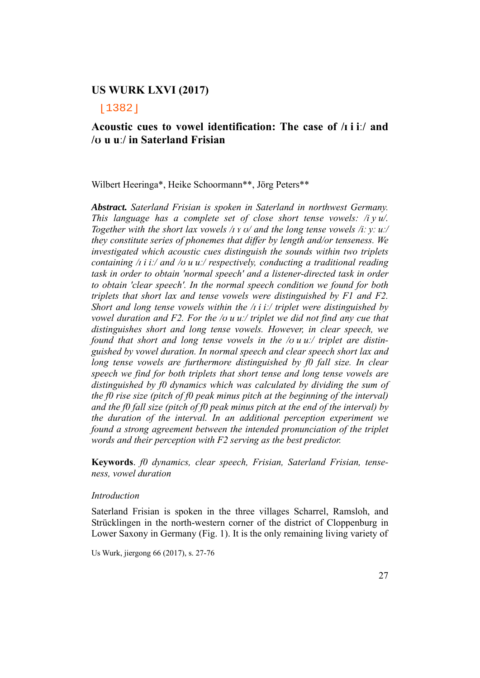[1382]

### **Acoustic cues to vowel identification: The case of /ɪ i iː/ and /ʊ u uː/ in Saterland Frisian**

Wilbert Heeringa\*, Heike Schoormann\*\*, Jörg Peters\*\*

*Abstract. Saterland Frisian is spoken in Saterland in northwest Germany. This language has a complete set of close short tense vowels: /i y u/. Together with the short lax vowels /<i>i x o/ and the long tense vowels /i: y: u:/ they constitute series of phonemes that differ by length and/or tenseness. We investigated which acoustic cues distinguish the sounds within two triplets containing /ɪ i iː/ and /ʊ u uː/ respectively, conducting a traditional reading task in order to obtain 'normal speech' and a listener-directed task in order to obtain 'clear speech'. In the normal speech condition we found for both triplets that short lax and tense vowels were distinguished by F1 and F2. Short and long tense vowels within the /ɪ i iː/ triplet were distinguished by vowel duration and F2. For the /ʊ u uː/ triplet we did not find any cue that distinguishes short and long tense vowels. However, in clear speech, we found that short and long tense vowels in the /ʊ u uː/ triplet are distinguished by vowel duration. In normal speech and clear speech short lax and long tense vowels are furthermore distinguished by f0 fall size. In clear speech we find for both triplets that short tense and long tense vowels are distinguished by f0 dynamics which was calculated by dividing the sum of the f0 rise size (pitch of f0 peak minus pitch at the beginning of the interval) and the f0 fall size (pitch of f0 peak minus pitch at the end of the interval) by the duration of the interval. In an additional perception experiment we found a strong agreement between the intended pronunciation of the triplet words and their perception with F2 serving as the best predictor.* 

**Keywords**. *f0 dynamics, clear speech, Frisian, Saterland Frisian, tenseness, vowel duration*

#### *Introduction*

Saterland Frisian is spoken in the three villages Scharrel, Ramsloh, and Strücklingen in the north-western corner of the district of Cloppenburg in Lower Saxony in Germany (Fig. 1). It is the only remaining living variety of

Us Wurk, jiergong 66 (2017), s. 27-76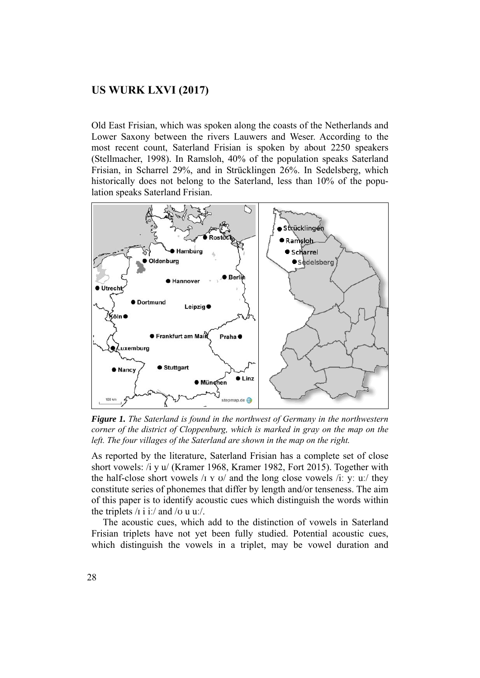Old East Frisian, which was spoken along the coasts of the Netherlands and Lower Saxony between the rivers Lauwers and Weser. According to the most recent count, Saterland Frisian is spoken by about 2250 speakers (Stellmacher, 1998). In Ramsloh, 40% of the population speaks Saterland Frisian, in Scharrel 29%, and in Strücklingen 26%. In Sedelsberg, which historically does not belong to the Saterland, less than 10% of the population speaks Saterland Frisian.



*Figure 1. The Saterland is found in the northwest of Germany in the northwestern corner of the district of Cloppenburg, which is marked in gray on the map on the* left. The four villages of the Saterland are shown in the map on the right.

As reported by the literature, Saterland Frisian has a complete set of close short vowels: /i y u/ (Kramer 1968, Kramer 1982, Fort 2015). Together with the half-close short vowels  $\pi$  x  $\sigma$  and the long close vowels  $\pi$  y:  $\sigma$  u:  $\pi$  they constitute series of phonemes that differ by length and/or tenseness. The aim of this paper is to identify acoustic cues which distinguish the words within the triplets  $\pi$  i i:/ and  $\pi$  u u./.

 The acoustic cues, which add to the distinction of vowels in Saterland Frisian triplets have not yet been fully studied. Potential acoustic cues, which distinguish the vowels in a triplet, may be vowel duration and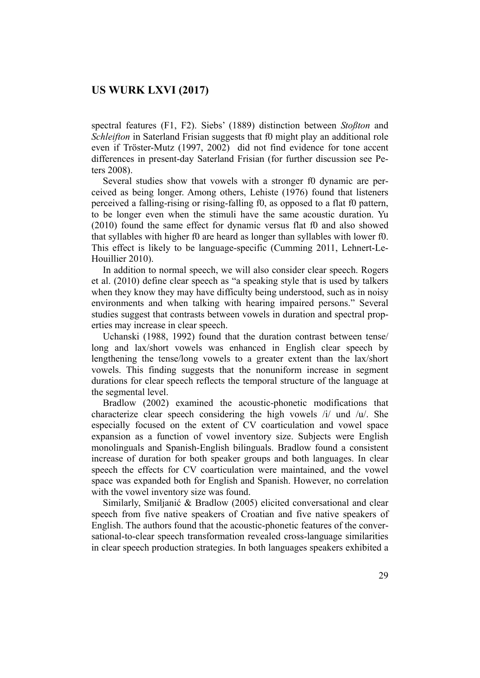spectral features (F1, F2). Siebs' (1889) distinction between *Stoßton* and *Schleifton* in Saterland Frisian suggests that f0 might play an additional role even if Tröster-Mutz (1997, 2002) did not find evidence for tone accent differences in present-day Saterland Frisian (for further discussion see Peters 2008).

Several studies show that vowels with a stronger f0 dynamic are perceived as being longer. Among others, Lehiste (1976) found that listeners perceived a falling-rising or rising-falling f0, as opposed to a flat f0 pattern, to be longer even when the stimuli have the same acoustic duration. Yu (2010) found the same effect for dynamic versus flat f0 and also showed that syllables with higher f0 are heard as longer than syllables with lower f0. This effect is likely to be language-specific (Cumming 2011, Lehnert-Le-Houillier 2010).

 In addition to normal speech, we will also consider clear speech. Rogers et al. (2010) define clear speech as "a speaking style that is used by talkers when they know they may have difficulty being understood, such as in noisy environments and when talking with hearing impaired persons." Several studies suggest that contrasts between vowels in duration and spectral properties may increase in clear speech.

 Uchanski (1988, 1992) found that the duration contrast between tense/ long and lax/short vowels was enhanced in English clear speech by lengthening the tense/long vowels to a greater extent than the lax/short vowels. This finding suggests that the nonuniform increase in segment durations for clear speech reflects the temporal structure of the language at the segmental level.

 Bradlow (2002) examined the acoustic-phonetic modifications that characterize clear speech considering the high vowels /i/ und /u/. She especially focused on the extent of CV coarticulation and vowel space expansion as a function of vowel inventory size. Subjects were English monolinguals and Spanish-English bilinguals. Bradlow found a consistent increase of duration for both speaker groups and both languages. In clear speech the effects for CV coarticulation were maintained, and the vowel space was expanded both for English and Spanish. However, no correlation with the vowel inventory size was found.

 Similarly, Smiljanić & Bradlow (2005) elicited conversational and clear speech from five native speakers of Croatian and five native speakers of English. The authors found that the acoustic-phonetic features of the conversational-to-clear speech transformation revealed cross-language similarities in clear speech production strategies. In both languages speakers exhibited a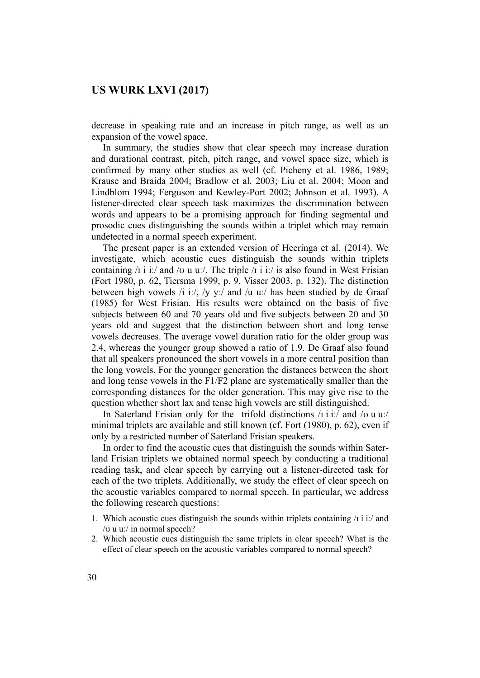decrease in speaking rate and an increase in pitch range, as well as an expansion of the vowel space.

 In summary, the studies show that clear speech may increase duration and durational contrast, pitch, pitch range, and vowel space size, which is confirmed by many other studies as well (cf. Picheny et al. 1986, 1989; Krause and Braida 2004; Bradlow et al. 2003; Liu et al. 2004; Moon and Lindblom 1994; Ferguson and Kewley-Port 2002; Johnson et al. 1993). A listener-directed clear speech task maximizes the discrimination between words and appears to be a promising approach for finding segmental and prosodic cues distinguishing the sounds within a triplet which may remain undetected in a normal speech experiment.

 The present paper is an extended version of Heeringa et al. (2014). We investigate, which acoustic cues distinguish the sounds within triplets containing  $\pi$  i i:/ and  $\pi$  u u:/. The triple  $\pi$  i i:/ is also found in West Frisian (Fort 1980, p. 62, Tiersma 1999, p. 9, Visser 2003, p. 132). The distinction between high vowels /i iː/, /y yː/ and /u uː/ has been studied by de Graaf (1985) for West Frisian. His results were obtained on the basis of five subjects between 60 and 70 years old and five subjects between 20 and 30 years old and suggest that the distinction between short and long tense vowels decreases. The average vowel duration ratio for the older group was 2.4, whereas the younger group showed a ratio of 1.9. De Graaf also found that all speakers pronounced the short vowels in a more central position than the long vowels. For the younger generation the distances between the short and long tense vowels in the F1/F2 plane are systematically smaller than the corresponding distances for the older generation. This may give rise to the question whether short lax and tense high vowels are still distinguished.

 In Saterland Frisian only for the trifold distinctions /ɪ i iː/ and /ʊ u uː/ minimal triplets are available and still known (cf. Fort (1980), p. 62), even if only by a restricted number of Saterland Frisian speakers.

 In order to find the acoustic cues that distinguish the sounds within Saterland Frisian triplets we obtained normal speech by conducting a traditional reading task, and clear speech by carrying out a listener-directed task for each of the two triplets. Additionally, we study the effect of clear speech on the acoustic variables compared to normal speech. In particular, we address the following research questions:

- 1. Which acoustic cues distinguish the sounds within triplets containing  $\pi$  i i.  $\pi$  and /ʊ u uː/ in normal speech?
- 2. Which acoustic cues distinguish the same triplets in clear speech? What is the effect of clear speech on the acoustic variables compared to normal speech?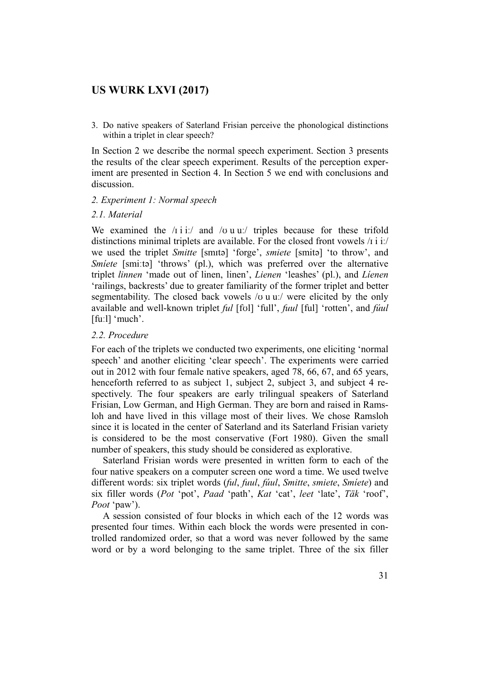3. Do native speakers of Saterland Frisian perceive the phonological distinctions within a triplet in clear speech?

In Section 2 we describe the normal speech experiment. Section 3 presents the results of the clear speech experiment. Results of the perception experiment are presented in Section 4. In Section 5 we end with conclusions and discussion.

#### *2. Experiment 1: Normal speech*

### *2.1. Material*

We examined the  $/\infty$  i i:/ and  $/\infty$  u u:/ triples because for these trifold distinctions minimal triplets are available. For the closed front vowels  $\pi$  i i:/ we used the triplet *Smitte* [smɪtə] 'forge', *smiete* [smitə] 'to throw', and *Smiete* [smi:ta] 'throws' (pl.), which was preferred over the alternative triplet *linnen* 'made out of linen, linen', *Lienen* 'leashes' (pl.), and *Líenen* 'railings, backrests' due to greater familiarity of the former triplet and better segmentability. The closed back vowels /v u u:/ were elicited by the only available and well-known triplet *ful* [fʊl] 'full', *fuul* [ful] 'rotten', and *fúul* [fuːl] 'much'.

### *2.2. Procedure*

For each of the triplets we conducted two experiments, one eliciting 'normal speech' and another eliciting 'clear speech'. The experiments were carried out in 2012 with four female native speakers, aged 78, 66, 67, and 65 years, henceforth referred to as subject 1, subject 2, subject 3, and subject 4 respectively. The four speakers are early trilingual speakers of Saterland Frisian, Low German, and High German. They are born and raised in Ramsloh and have lived in this village most of their lives. We chose Ramsloh since it is located in the center of Saterland and its Saterland Frisian variety is considered to be the most conservative (Fort 1980). Given the small number of speakers, this study should be considered as explorative.

 Saterland Frisian words were presented in written form to each of the four native speakers on a computer screen one word a time. We used twelve different words: six triplet words (*ful*, *fuul*, *fúul*, *Smitte*, *smiete*, *Smíete*) and six filler words (*Pot* 'pot', *Paad* 'path', *Kat* 'cat', *leet* 'late', *Täk* 'roof', *Poot* 'paw').

 A session consisted of four blocks in which each of the 12 words was presented four times. Within each block the words were presented in controlled randomized order, so that a word was never followed by the same word or by a word belonging to the same triplet. Three of the six filler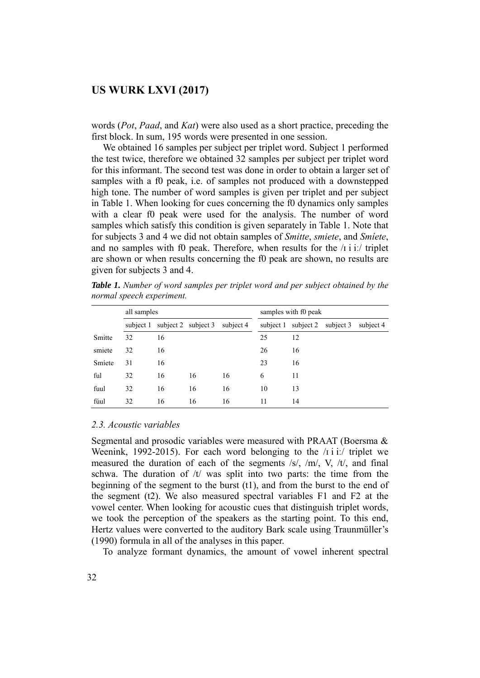words (*Pot*, *Paad*, and *Kat*) were also used as a short practice, preceding the first block. In sum, 195 words were presented in one session.

 We obtained 16 samples per subject per triplet word. Subject 1 performed the test twice, therefore we obtained 32 samples per subject per triplet word for this informant. The second test was done in order to obtain a larger set of samples with a f0 peak, i.e. of samples not produced with a downstepped high tone. The number of word samples is given per triplet and per subject in Table 1. When looking for cues concerning the f0 dynamics only samples with a clear f0 peak were used for the analysis. The number of word samples which satisfy this condition is given separately in Table 1. Note that for subjects 3 and 4 we did not obtain samples of *Smitte*, *smiete*, and *Smíete*, and no samples with f0 peak. Therefore, when results for the  $\pi$  i it is triplet are shown or when results concerning the f0 peak are shown, no results are given for subjects 3 and 4.

|        | all samples |    |                     |           |    | samples with f0 peak          |  |           |  |  |
|--------|-------------|----|---------------------|-----------|----|-------------------------------|--|-----------|--|--|
|        | subject 1   |    | subject 2 subject 3 | subject 4 |    | subject 1 subject 2 subject 3 |  | subject 4 |  |  |
| Smitte | 32          | 16 |                     |           | 25 | 12                            |  |           |  |  |
| smiete | 32          | 16 |                     |           | 26 | 16                            |  |           |  |  |
| Smiete | 31          | 16 |                     |           | 23 | 16                            |  |           |  |  |
| ful    | 32          | 16 | 16                  | 16        | 6  | 11                            |  |           |  |  |
| fuul   | 32          | 16 | 16                  | 16        | 10 | 13                            |  |           |  |  |
| fúul   | 32          | 16 | 16                  | 16        | 11 | 14                            |  |           |  |  |

*Table 1. Number of word samples per triplet word and per subject obtained by the normal speech experiment.* 

#### *2.3. Acoustic variables*

Segmental and prosodic variables were measured with PRAAT (Boersma  $\&$ Weenink, 1992-2015). For each word belonging to the /i i i:/ triplet we measured the duration of each of the segments /s/, /m/, V, /t/, and final schwa. The duration of  $/t$  was split into two parts: the time from the beginning of the segment to the burst (t1), and from the burst to the end of the segment (t2). We also measured spectral variables F1 and F2 at the vowel center. When looking for acoustic cues that distinguish triplet words, we took the perception of the speakers as the starting point. To this end, Hertz values were converted to the auditory Bark scale using Traunmüller's (1990) formula in all of the analyses in this paper.

To analyze formant dynamics, the amount of vowel inherent spectral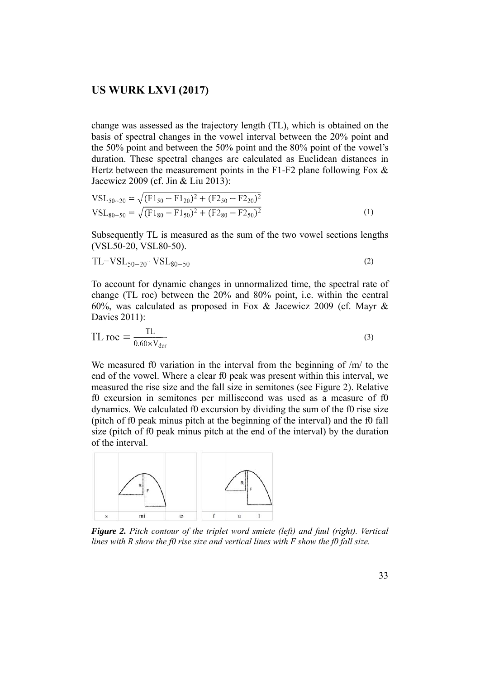change was assessed as the trajectory length (TL), which is obtained on the basis of spectral changes in the vowel interval between the 20% point and the 50% point and between the 50% point and the 80% point of the vowel's duration. These spectral changes are calculated as Euclidean distances in Hertz between the measurement points in the F1-F2 plane following Fox  $\&$ Jacewicz 2009 (cf. Jin & Liu 2013):

$$
VSL_{50-20} = \sqrt{(F1_{50} - F1_{20})^2 + (F2_{50} - F2_{20})^2}
$$
  
\n
$$
VSL_{80-50} = \sqrt{(F1_{80} - F1_{50})^2 + (F2_{80} - F2_{50})^2}
$$
 (1)

Subsequently TL is measured as the sum of the two vowel sections lengths (VSL50-20, VSL80-50).

$$
TL = VSL_{50-20} + VSL_{80-50}
$$
 (2)

To account for dynamic changes in unnormalized time, the spectral rate of change (TL roc) between the 20% and 80% point, i.e. within the central 60%, was calculated as proposed in Fox & Jacewicz 2009 (cf. Mayr & Davies 2011):

$$
TL\,\text{roc} = \frac{TL}{0.60 \times V_{dur}}
$$
\n<sup>(3)</sup>

We measured f0 variation in the interval from the beginning of /m/ to the end of the vowel. Where a clear f0 peak was present within this interval, we measured the rise size and the fall size in semitones (see Figure 2). Relative f0 excursion in semitones per millisecond was used as a measure of f0 dynamics. We calculated f0 excursion by dividing the sum of the f0 rise size (pitch of f0 peak minus pitch at the beginning of the interval) and the f0 fall size (pitch of f0 peak minus pitch at the end of the interval) by the duration of the interval.



*Figure 2. Pitch contour of the triplet word smiete (left) and fuul (right). Vertical lines with R show the f0 rise size and vertical lines with F show the f0 fall size.*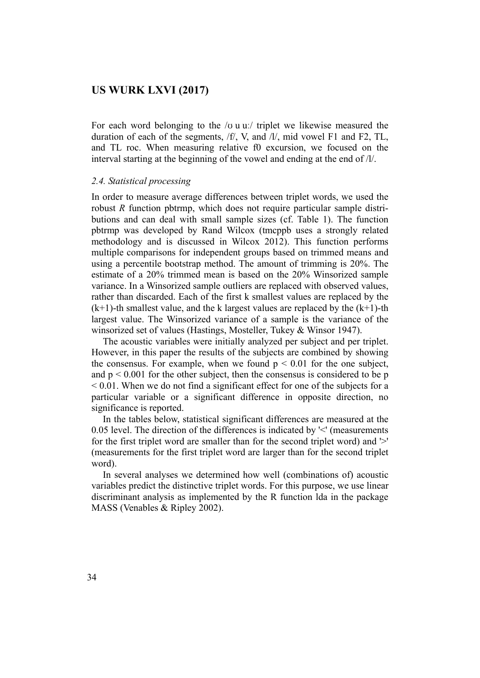For each word belonging to the / $\sigma$  u u:/ triplet we likewise measured the duration of each of the segments, /f/, V, and /l/, mid vowel F1 and F2, TL, and TL roc. When measuring relative f0 excursion, we focused on the interval starting at the beginning of the vowel and ending at the end of  $/1/$ .

#### *2.4. Statistical processing*

In order to measure average differences between triplet words, we used the robust *R* function pbtrmp, which does not require particular sample distributions and can deal with small sample sizes (cf. Table 1). The function pbtrmp was developed by Rand Wilcox (tmcppb uses a strongly related methodology and is discussed in Wilcox 2012). This function performs multiple comparisons for independent groups based on trimmed means and using a percentile bootstrap method. The amount of trimming is 20%. The estimate of a 20% trimmed mean is based on the 20% Winsorized sample variance. In a Winsorized sample outliers are replaced with observed values, rather than discarded. Each of the first k smallest values are replaced by the  $(k+1)$ -th smallest value, and the k largest values are replaced by the  $(k+1)$ -th largest value. The Winsorized variance of a sample is the variance of the winsorized set of values (Hastings, Mosteller, Tukey & Winsor 1947).

 The acoustic variables were initially analyzed per subject and per triplet. However, in this paper the results of the subjects are combined by showing the consensus. For example, when we found  $p \le 0.01$  for the one subject, and  $p \le 0.001$  for the other subject, then the consensus is considered to be p < 0.01. When we do not find a significant effect for one of the subjects for a particular variable or a significant difference in opposite direction, no significance is reported.

 In the tables below, statistical significant differences are measured at the 0.05 level. The direction of the differences is indicated by '<' (measurements for the first triplet word are smaller than for the second triplet word) and '>' (measurements for the first triplet word are larger than for the second triplet word).

 In several analyses we determined how well (combinations of) acoustic variables predict the distinctive triplet words. For this purpose, we use linear discriminant analysis as implemented by the R function lda in the package MASS (Venables & Ripley 2002).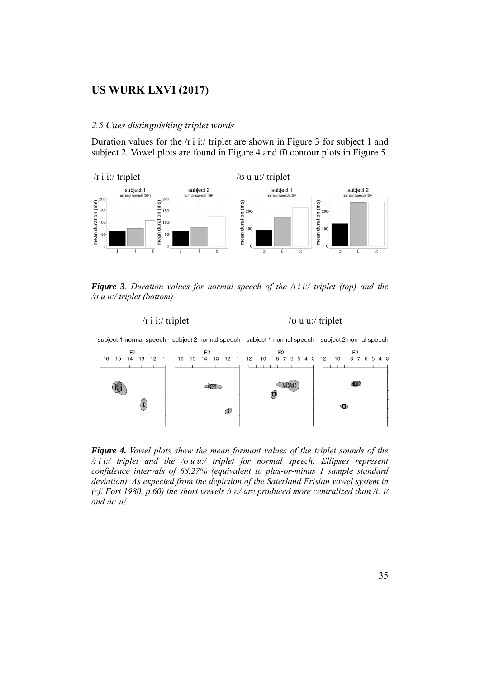#### *2.5 Cues distinguishing triplet words*

Duration values for the  $\pi$  i i:/ triplet are shown in Figure 3 for subject 1 and subject 2. Vowel plots are found in Figure 4 and f0 contour plots in Figure 5.



*Figure 3. Duration values for normal speech of the /ɪ i iː/ triplet (top) and the /ʊ u uː/ triplet (bottom).* 



subject 1 normal speech subject 2 normal speech subject 1 normal speech subject 2 normal speech



*Figure 4. Vowel plots show the mean formant values of the triplet sounds of the /ɪ i iː/ triplet and the /ʊ u uː/ triplet for normal speech. Ellipses represent confidence intervals of 68.27% (equivalent to plus-or-minus 1 sample standard deviation). As expected from the depiction of the Saterland Frisian vowel system in (cf. Fort 1980, p.60) the short vowels /ɪ ʊ/ are produced more centralized than /i: i/ and /u: u/.*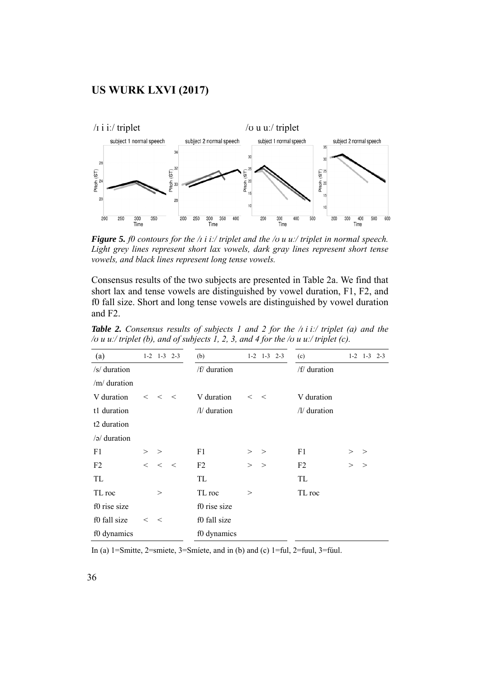

*Figure 5. f0 contours for the /ɪ i iː/ triplet and the /ʊ u uː/ triplet in normal speech. Light grey lines represent short lax vowels, dark gray lines represent short tense vowels, and black lines represent long tense vowels.* 

Consensus results of the two subjects are presented in Table 2a. We find that short lax and tense vowels are distinguished by vowel duration, F1, F2, and f0 fall size. Short and long tense vowels are distinguished by vowel duration and F2.

| (a)                     |         | $1-2$ $1-3$ $2-3$ |         | (b)            |          | $1-2$ $1-3$ $2-3$ | (c)            |        | $1-2$ 1-3<br>$2 - 3$ |
|-------------------------|---------|-------------------|---------|----------------|----------|-------------------|----------------|--------|----------------------|
| $/s$ duration           |         |                   |         | /f/ duration   |          |                   | /f/ duration   |        |                      |
| /m/ duration            |         |                   |         |                |          |                   |                |        |                      |
| V duration              | $\lt$   | $\lt$             | $\,<\,$ | V duration     | $\,<\,$  | $\,<\,$           | V duration     |        |                      |
| t1 duration             |         |                   |         | $/1/$ duration |          |                   | $/1/$ duration |        |                      |
| t <sub>2</sub> duration |         |                   |         |                |          |                   |                |        |                      |
| $\sqrt{2}$ duration     |         |                   |         |                |          |                   |                |        |                      |
| F1                      | >       | >                 |         | F1             | >        | $\geq$            | F <sub>1</sub> | $\geq$ | $\geq$               |
| F2                      | $\,<\,$ | $\,<$             | $\,<\,$ | F <sub>2</sub> | >        | $\geq$            | F2             | $\geq$ | >                    |
| TL                      |         |                   |         | TL             |          |                   | TL             |        |                      |
| TL roc                  |         | >                 |         | TL roc         | $\rm{>}$ |                   | TL roc         |        |                      |
| f0 rise size            |         |                   |         | f0 rise size   |          |                   |                |        |                      |
| f0 fall size            | $\lt$   | $\,<\,$           |         | f0 fall size   |          |                   |                |        |                      |
| f0 dynamics             |         |                   |         | f0 dynamics    |          |                   |                |        |                      |

*Table 2. Consensus results of subjects 1 and 2 for the /ɪ i iː/ triplet (a) and the /ʊ u uː/ triplet (b), and of subjects 1, 2, 3, and 4 for the /ʊ u uː/ triplet (c).* 

In (a) 1=Smitte, 2=smiete, 3=Smíete, and in (b) and (c) 1=ful, 2=fuul, 3=fúul.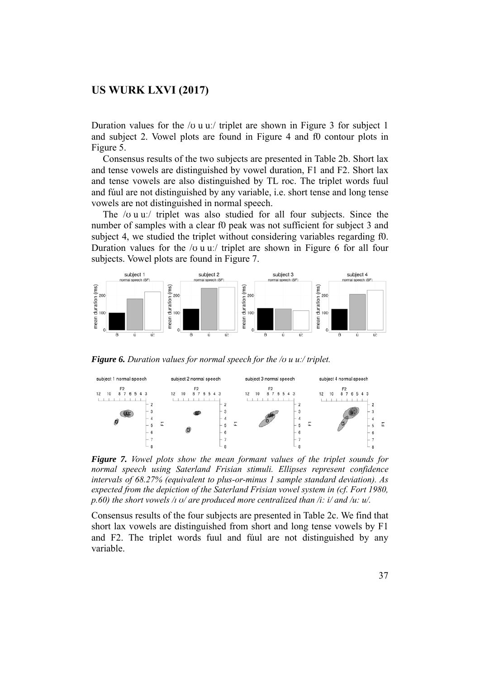Duration values for the / $\sigma$  u u./ triplet are shown in Figure 3 for subject 1 and subject 2. Vowel plots are found in Figure 4 and f0 contour plots in Figure 5.

 Consensus results of the two subjects are presented in Table 2b. Short lax and tense vowels are distinguished by vowel duration, F1 and F2. Short lax and tense vowels are also distinguished by TL roc. The triplet words fuul and fúul are not distinguished by any variable, i.e. short tense and long tense vowels are not distinguished in normal speech.

 The /ʊ u uː/ triplet was also studied for all four subjects. Since the number of samples with a clear f0 peak was not sufficient for subject 3 and subject 4, we studied the triplet without considering variables regarding f0. Duration values for the / $\sigma$  u u:/ triplet are shown in Figure 6 for all four subjects. Vowel plots are found in Figure 7.



*Figure 6. Duration values for normal speech for the /ʊ u uː/ triplet.* 



*Figure 7. Vowel plots show the mean formant values of the triplet sounds for normal speech using Saterland Frisian stimuli. Ellipses represent confidence intervals of 68.27% (equivalent to plus-or-minus 1 sample standard deviation). As expected from the depiction of the Saterland Frisian vowel system in (cf. Fort 1980, p.60) the short vowels /ɪ ʊ/ are produced more centralized than /i: i/ and /u: u/.* 

Consensus results of the four subjects are presented in Table 2c. We find that short lax vowels are distinguished from short and long tense vowels by F1 and F2. The triplet words fuul and fúul are not distinguished by any variable.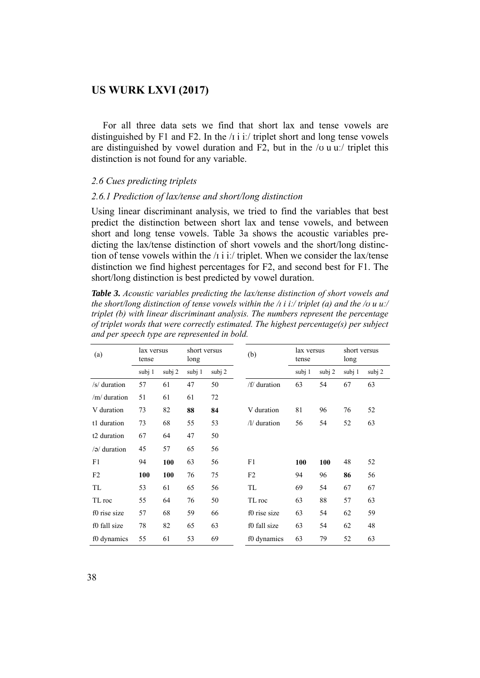For all three data sets we find that short lax and tense vowels are distinguished by F1 and F2. In the  $\pi$  i i. triplet short and long tense vowels are distinguished by vowel duration and F2, but in the  $/\sigma$  u u. Triplet this distinction is not found for any variable.

#### *2.6 Cues predicting triplets*

#### *2.6.1 Prediction of lax/tense and short/long distinction*

Using linear discriminant analysis, we tried to find the variables that best predict the distinction between short lax and tense vowels, and between short and long tense vowels. Table 3a shows the acoustic variables predicting the lax/tense distinction of short vowels and the short/long distinction of tense vowels within the  $\pi$  i i:/ triplet. When we consider the lax/tense distinction we find highest percentages for F2, and second best for F1. The short/long distinction is best predicted by vowel duration.

*Table 3. Acoustic variables predicting the lax/tense distinction of short vowels and the short/long distinction of tense vowels within the /ɪ i iː/ triplet (a) and the /ʊ u uː/ triplet (b) with linear discriminant analysis. The numbers represent the percentage of triplet words that were correctly estimated. The highest percentage(s) per subject and per speech type are represented in bold.* 

| (a)                     | lax versus<br>tense |        | short versus<br>long |        | (b)            | lax versus<br>tense |          | short versus<br>long |        |
|-------------------------|---------------------|--------|----------------------|--------|----------------|---------------------|----------|----------------------|--------|
|                         | subj 1              | subj 2 | subj 1               | subj 2 |                | subj 1              | subj $2$ | subj 1               | subj 2 |
| /s/ duration            | 57                  | 61     | 47                   | 50     | /f/ duration   | 63                  | 54       | 67                   | 63     |
| /m/duration             | 51                  | 61     | 61                   | 72     |                |                     |          |                      |        |
| V duration              | 73                  | 82     | 88                   | 84     | V duration     | 81                  | 96       | 76                   | 52     |
| t1 duration             | 73                  | 68     | 55                   | 53     | $/1/$ duration | 56                  | 54       | 52                   | 63     |
| t <sub>2</sub> duration | 67                  | 64     | 47                   | 50     |                |                     |          |                      |        |
| $\sqrt{a}$ duration     | 45                  | 57     | 65                   | 56     |                |                     |          |                      |        |
| F1                      | 94                  | 100    | 63                   | 56     | F1             | 100                 | 100      | 48                   | 52     |
| F <sub>2</sub>          | 100                 | 100    | 76                   | 75     | F2             | 94                  | 96       | 86                   | 56     |
| TL                      | 53                  | 61     | 65                   | 56     | TL             | 69                  | 54       | 67                   | 67     |
| TL roc                  | 55                  | 64     | 76                   | 50     | TL roc         | 63                  | 88       | 57                   | 63     |
| f0 rise size            | 57                  | 68     | 59                   | 66     | f0 rise size   | 63                  | 54       | 62                   | 59     |
| f0 fall size            | 78                  | 82     | 65                   | 63     | f0 fall size   | 63                  | 54       | 62                   | 48     |
| f0 dynamics             | 55                  | 61     | 53                   | 69     | f0 dynamics    | 63                  | 79       | 52                   | 63     |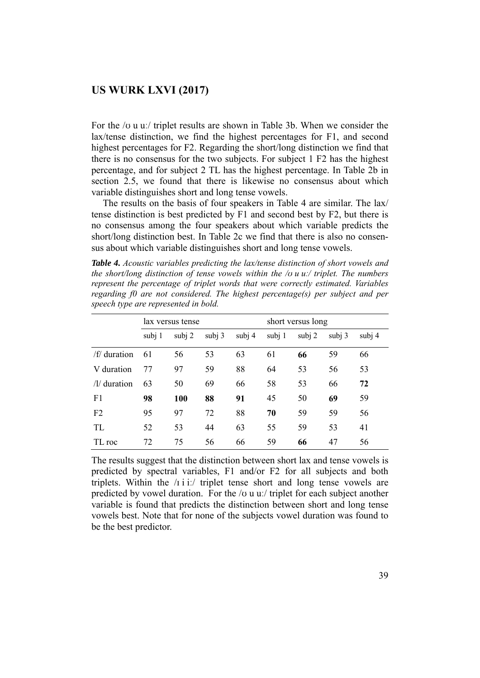For the /ʊ u uː/ triplet results are shown in Table 3b. When we consider the lax/tense distinction, we find the highest percentages for F1, and second highest percentages for F2. Regarding the short/long distinction we find that there is no consensus for the two subjects. For subject 1 F2 has the highest percentage, and for subject 2 TL has the highest percentage. In Table 2b in section 2.5, we found that there is likewise no consensus about which variable distinguishes short and long tense vowels.

 The results on the basis of four speakers in Table 4 are similar. The lax/ tense distinction is best predicted by F1 and second best by F2, but there is no consensus among the four speakers about which variable predicts the short/long distinction best. In Table 2c we find that there is also no consensus about which variable distinguishes short and long tense vowels.

*Table 4. Acoustic variables predicting the lax/tense distinction of short vowels and the short/long distinction of tense vowels within the /ʊ u uː/ triplet. The numbers represent the percentage of triplet words that were correctly estimated. Variables regarding f0 are not considered. The highest percentage(s) per subject and per speech type are represented in bold.* 

|                |        | lax versus tense |        |          | short versus long |          |        |        |  |  |
|----------------|--------|------------------|--------|----------|-------------------|----------|--------|--------|--|--|
|                | subj 1 | subj $2$         | subj 3 | subj $4$ | subi 1            | subj $2$ | subi 3 | subj 4 |  |  |
| /f/duration    | 61     | 56               | 53     | 63       | 61                | 66       | 59     | 66     |  |  |
| V duration     | 77     | 97               | 59     | 88       | 64                | 53       | 56     | 53     |  |  |
| $/1/$ duration | 63     | 50               | 69     | 66       | 58                | 53       | 66     | 72     |  |  |
| F <sub>1</sub> | 98     | 100              | 88     | 91       | 45                | 50       | 69     | 59     |  |  |
| F <sub>2</sub> | 95     | 97               | 72     | 88       | 70                | 59       | 59     | 56     |  |  |
| TL             | 52     | 53               | 44     | 63       | 55                | 59       | 53     | 41     |  |  |
| TL roc         | 72     | 75               | 56     | 66       | 59                | 66       | 47     | 56     |  |  |

The results suggest that the distinction between short lax and tense vowels is predicted by spectral variables, F1 and/or F2 for all subjects and both triplets. Within the  $\pi$  i i:/ triplet tense short and long tense vowels are predicted by vowel duration. For the  $\alpha$  u u. triplet for each subject another variable is found that predicts the distinction between short and long tense vowels best. Note that for none of the subjects vowel duration was found to be the best predictor.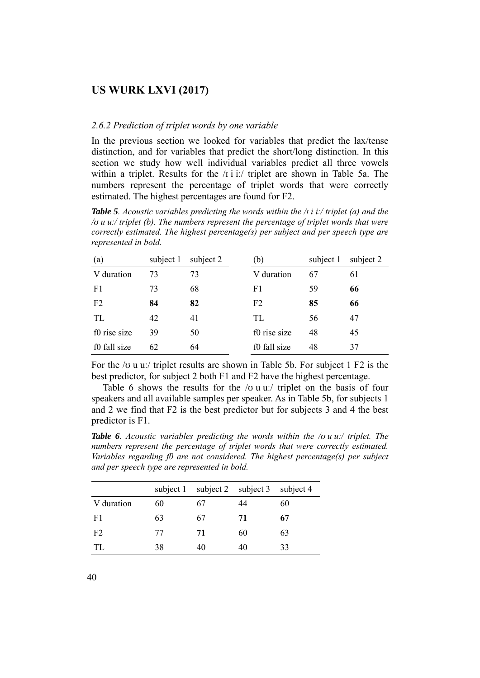#### *2.6.2 Prediction of triplet words by one variable*

In the previous section we looked for variables that predict the lax/tense distinction, and for variables that predict the short/long distinction. In this section we study how well individual variables predict all three vowels within a triplet. Results for the /ɪ i iː/ triplet are shown in Table 5a. The numbers represent the percentage of triplet words that were correctly estimated. The highest percentages are found for F2.

*Table 5. Acoustic variables predicting the words within the /ɪ i iː/ triplet (a) and the /ʊ u uː/ triplet (b). The numbers represent the percentage of triplet words that were correctly estimated. The highest percentage(s) per subject and per speech type are represented in bold.* 

| (a)            | subject 1 | subject 2 | (b)          | subject 1 | subject 2 |
|----------------|-----------|-----------|--------------|-----------|-----------|
| V duration     | 73        | 73        | V duration   | 67        | 61        |
| F1             | 73        | 68        | F1           | 59        | 66        |
| F <sub>2</sub> | 84        | 82        | F2           | 85        | 66        |
| TL             | 42        | 41        | TL           | 56        | 47        |
| f0 rise size   | 39        | 50        | f0 rise size | 48        | 45        |
| f0 fall size   | 62        | 64        | f0 fall size | 48        | 37        |

For the /ʊ u uː/ triplet results are shown in Table 5b. For subject 1 F2 is the best predictor, for subject 2 both F1 and F2 have the highest percentage.

Table 6 shows the results for the  $\alpha$  u u: triplet on the basis of four speakers and all available samples per speaker. As in Table 5b, for subjects 1 and 2 we find that F2 is the best predictor but for subjects 3 and 4 the best predictor is F1.

*Table 6. Acoustic variables predicting the words within the /ʊ u uː/ triplet. The numbers represent the percentage of triplet words that were correctly estimated. Variables regarding f0 are not considered. The highest percentage(s) per subject and per speech type are represented in bold.* 

|                | subject 1 | subject 2 subject 3 |    | subject 4 |
|----------------|-----------|---------------------|----|-----------|
| V duration     | 60        | 67                  | 44 | 60        |
| F1             | 63        | 67                  | 71 | 67        |
| F <sub>2</sub> | 77        | 71                  | 60 | 63        |
| TL.            | 38        | 40                  | 40 | 33        |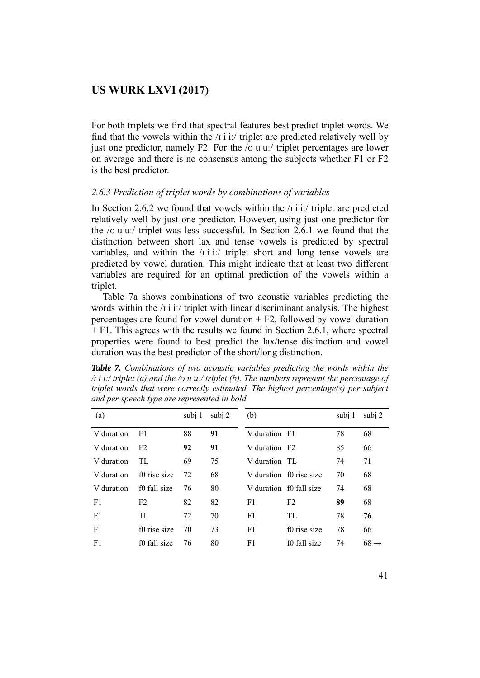For both triplets we find that spectral features best predict triplet words. We find that the vowels within the  $\pi$  i it triplet are predicted relatively well by just one predictor, namely F2. For the  $\alpha$  u u. triplet percentages are lower on average and there is no consensus among the subjects whether F1 or F2 is the best predictor.

#### *2.6.3 Prediction of triplet words by combinations of variables*

In Section 2.6.2 we found that vowels within the  $\pi$  i i. triplet are predicted relatively well by just one predictor. However, using just one predictor for the /ʊ u uː/ triplet was less successful. In Section 2.6.1 we found that the distinction between short lax and tense vowels is predicted by spectral variables, and within the  $\pi$  i i. triplet short and long tense vowels are predicted by vowel duration. This might indicate that at least two different variables are required for an optimal prediction of the vowels within a triplet.

 Table 7a shows combinations of two acoustic variables predicting the words within the /i i i./ triplet with linear discriminant analysis. The highest percentages are found for vowel duration  $+ F2$ , followed by vowel duration + F1. This agrees with the results we found in Section 2.6.1, where spectral properties were found to best predict the lax/tense distinction and vowel duration was the best predictor of the short/long distinction.

*Table 7. Combinations of two acoustic variables predicting the words within the /ɪ i iː/ triplet (a) and the /ʊ u uː/ triplet (b). The numbers represent the percentage of triplet words that were correctly estimated. The highest percentage(s) per subject and per speech type are represented in bold.* 

| (a)        |                | subj 1 | subj 2 | (b)                       |                         | subj 1 | subj 2           |
|------------|----------------|--------|--------|---------------------------|-------------------------|--------|------------------|
| V duration | F1             | 88     | 91     | V duration F1             |                         | 78     | 68               |
| V duration | F2             | 92     | 91     | V duration F <sub>2</sub> |                         | 85     | 66               |
| V duration | TL.            | 69     | 75     | V duration TL             |                         | 74     | 71               |
| V duration | f0 rise size   | 72     | 68     |                           | V duration f0 rise size | 70     | 68               |
| V duration | f0 fall size   | 76     | 80     |                           | V duration f0 fall size | 74     | 68               |
| F1         | F <sub>2</sub> | 82     | 82     | F1                        | F <sub>2</sub>          | 89     | 68               |
| F1         | TL.            | 72     | 70     | F1                        | TL                      | 78     | 76               |
| F1         | f0 rise size   | 70     | 73     | F1                        | f0 rise size            | 78     | 66               |
| F1         | f0 fall size   | 76     | 80     | F1                        | f0 fall size            | 74     | $68 \rightarrow$ |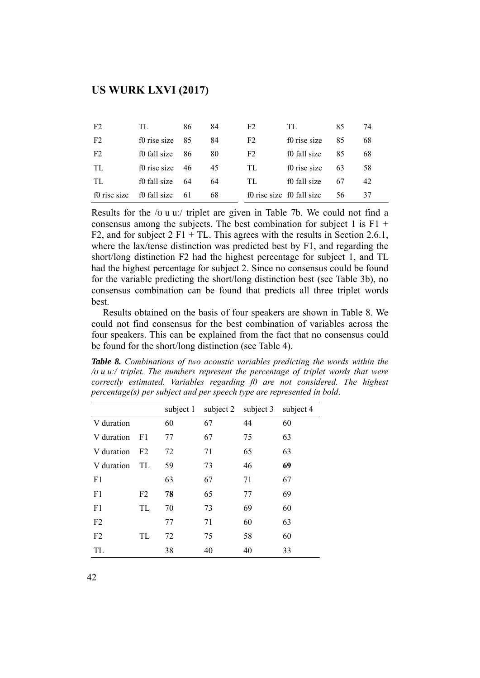| F <sub>2</sub> | TL.          | 86 | 84 | F <sub>2</sub> | TL                        | 85 | 74 |
|----------------|--------------|----|----|----------------|---------------------------|----|----|
| F <sub>2</sub> | f0 rise size | 85 | 84 | F <sub>2</sub> | f0 rise size              | 85 | 68 |
| F <sub>2</sub> | f0 fall size | 86 | 80 | F <sub>2</sub> | f0 fall size              | 85 | 68 |
| TL             | f0 rise size | 46 | 45 | TL.            | f0 rise size              | 63 | 58 |
| TL.            | f0 fall size | 64 | 64 | TL.            | f0 fall size              | 67 | 42 |
| f0 rise size   | f0 fall size | 61 | 68 |                | f0 rise size f0 fall size | 56 | 37 |

Results for the /ʊ u uː/ triplet are given in Table 7b. We could not find a consensus among the subjects. The best combination for subject 1 is  $F1 + F$ F2, and for subject  $2 \text{ F1} + \text{TL}$ . This agrees with the results in Section 2.6.1, where the lax/tense distinction was predicted best by F1, and regarding the short/long distinction F2 had the highest percentage for subject 1, and TL had the highest percentage for subject 2. Since no consensus could be found for the variable predicting the short/long distinction best (see Table 3b), no consensus combination can be found that predicts all three triplet words best.

 Results obtained on the basis of four speakers are shown in Table 8. We could not find consensus for the best combination of variables across the four speakers. This can be explained from the fact that no consensus could be found for the short/long distinction (see Table 4).

*Table 8. Combinations of two acoustic variables predicting the words within the /ʊ u uː/ triplet. The numbers represent the percentage of triplet words that were correctly estimated. Variables regarding f0 are not considered. The highest percentage(s) per subject and per speech type are represented in bold*.

|                |                | subject 1 | subject 2 | subject 3 | subject 4 |
|----------------|----------------|-----------|-----------|-----------|-----------|
| V duration     |                | 60        | 67        | 44        | 60        |
| V duration     | F1             | 77        | 67        | 75        | 63        |
| V duration     | F <sub>2</sub> | 72        | 71        | 65        | 63        |
| V duration     | TL.            | 59        | 73        | 46        | 69        |
| F1             |                | 63        | 67        | 71        | 67        |
| F1             | F <sub>2</sub> | 78        | 65        | 77        | 69        |
| F <sub>1</sub> | TL             | 70        | 73        | 69        | 60        |
| F <sub>2</sub> |                | 77        | 71        | 60        | 63        |
| F <sub>2</sub> | TL.            | 72        | 75        | 58        | 60        |
| TL             |                | 38        | 40        | 40        | 33        |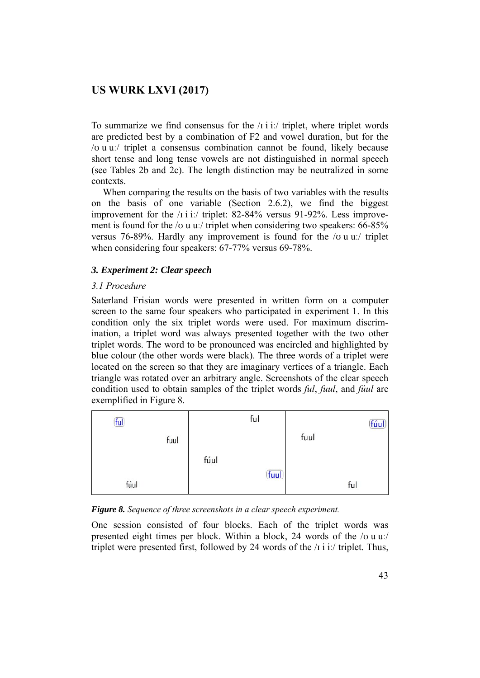To summarize we find consensus for the  $\pi$  i it triplet, where triplet words are predicted best by a combination of F2 and vowel duration, but for the /ʊ u uː/ triplet a consensus combination cannot be found, likely because short tense and long tense vowels are not distinguished in normal speech (see Tables 2b and 2c). The length distinction may be neutralized in some contexts.

 When comparing the results on the basis of two variables with the results on the basis of one variable (Section 2.6.2), we find the biggest improvement for the /i i i./ triplet: 82-84% versus 91-92%. Less improvement is found for the /v u uː/ triplet when considering two speakers: 66-85% versus 76-89%. Hardly any improvement is found for the /ʊ u uː/ triplet when considering four speakers: 67-77% versus 69-78%.

### *3. Experiment 2: Clear speech*

### *3.1 Procedure*

Saterland Frisian words were presented in written form on a computer screen to the same four speakers who participated in experiment 1. In this condition only the six triplet words were used. For maximum discrimination, a triplet word was always presented together with the two other triplet words. The word to be pronounced was encircled and highlighted by blue colour (the other words were black). The three words of a triplet were located on the screen so that they are imaginary vertices of a triangle. Each triangle was rotated over an arbitrary angle. Screenshots of the clear speech condition used to obtain samples of the triplet words *ful*, *fuul*, and *fúul* are exemplified in Figure 8.



*Figure 8. Sequence of three screenshots in a clear speech experiment.* 

One session consisted of four blocks. Each of the triplet words was presented eight times per block. Within a block, 24 words of the /ʊ u uː/ triplet were presented first, followed by 24 words of the /ɪ i iː/ triplet. Thus,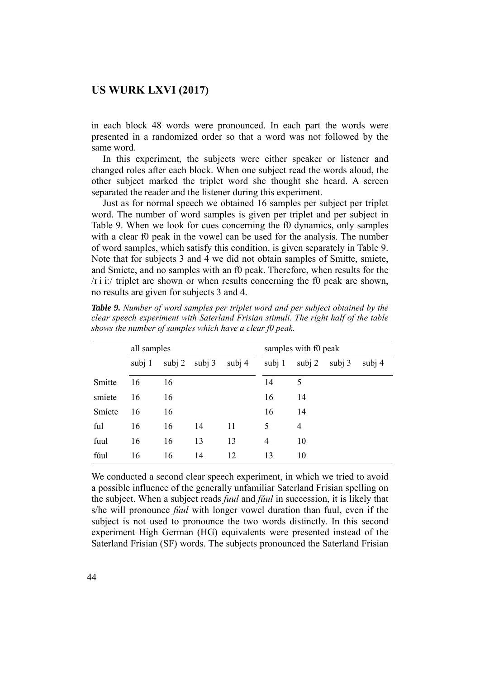in each block 48 words were pronounced. In each part the words were presented in a randomized order so that a word was not followed by the same word.

 In this experiment, the subjects were either speaker or listener and changed roles after each block. When one subject read the words aloud, the other subject marked the triplet word she thought she heard. A screen separated the reader and the listener during this experiment.

 Just as for normal speech we obtained 16 samples per subject per triplet word. The number of word samples is given per triplet and per subject in Table 9. When we look for cues concerning the f0 dynamics, only samples with a clear f0 peak in the vowel can be used for the analysis. The number of word samples, which satisfy this condition, is given separately in Table 9. Note that for subjects 3 and 4 we did not obtain samples of Smitte, smiete, and Smíete, and no samples with an f0 peak. Therefore, when results for the /ɪ i iː/ triplet are shown or when results concerning the f0 peak are shown, no results are given for subjects 3 and 4.

|        | all samples |          |          |          | samples with f0 peak |          |          |        |  |  |
|--------|-------------|----------|----------|----------|----------------------|----------|----------|--------|--|--|
|        | subj 1      | subj $2$ | subj $3$ | subj $4$ | subj 1               | subj $2$ | subj $3$ | subj 4 |  |  |
| Smitte | 16          | 16       |          |          | 14                   | 5        |          |        |  |  |
| smiete | 16          | 16       |          |          | 16                   | 14       |          |        |  |  |
| Smiete | 16          | 16       |          |          | 16                   | 14       |          |        |  |  |
| ful    | 16          | 16       | 14       | 11       | 5                    | 4        |          |        |  |  |
| fuul   | 16          | 16       | 13       | 13       | 4                    | 10       |          |        |  |  |
| fúul   | 16          | 16       | 14       | 12       | 13                   | 10       |          |        |  |  |

*Table 9. Number of word samples per triplet word and per subject obtained by the clear speech experiment with Saterland Frisian stimuli. The right half of the table shows the number of samples which have a clear f0 peak.* 

We conducted a second clear speech experiment, in which we tried to avoid a possible influence of the generally unfamiliar Saterland Frisian spelling on the subject. When a subject reads *fuul* and *fúul* in succession, it is likely that s/he will pronounce *fúul* with longer vowel duration than fuul, even if the subject is not used to pronounce the two words distinctly. In this second experiment High German (HG) equivalents were presented instead of the Saterland Frisian (SF) words. The subjects pronounced the Saterland Frisian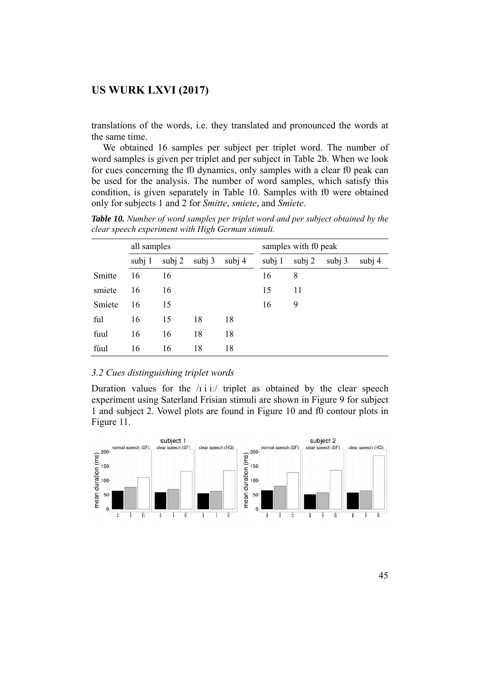translations of the words, i.e. they translated and pronounced the words at the same time.

 We obtained 16 samples per subject per triplet word. The number of word samples is given per triplet and per subject in Table 2b. When we look for cues concerning the f0 dynamics, only samples with a clear f0 peak can be used for the analysis. The number of word samples, which satisfy this condition, is given separately in Table 10. Samples with f0 were obtained only for subjects 1 and 2 for *Smitte*, *smiete*, and *Smíete*.

*Table 10. Number of word samples per triplet word and per subject obtained by the clear speech experiment with High German stimuli.* 

|        | all samples |          |          |        | samples with f0 peak |          |        |        |  |  |
|--------|-------------|----------|----------|--------|----------------------|----------|--------|--------|--|--|
|        | subj 1      | subj $2$ | subj $3$ | subj 4 | subj 1               | subj $2$ | subj 3 | subj 4 |  |  |
| Smitte | 16          | 16       |          |        | 16                   | 8        |        |        |  |  |
| smiete | 16          | 16       |          |        | 15                   | 11       |        |        |  |  |
| Smiete | 16          | 15       |          |        | 16                   | 9        |        |        |  |  |
| ful    | 16          | 15       | 18       | 18     |                      |          |        |        |  |  |
| fuul   | 16          | 16       | 18       | 18     |                      |          |        |        |  |  |
| fúul   | 16          | 16       | 18       | 18     |                      |          |        |        |  |  |

#### *3.2 Cues distinguishing triplet words*

Duration values for the  $\pi$  i ii. triplet as obtained by the clear speech experiment using Saterland Frisian stimuli are shown in Figure 9 for subject 1 and subject 2. Vowel plots are found in Figure 10 and f0 contour plots in Figure 11.

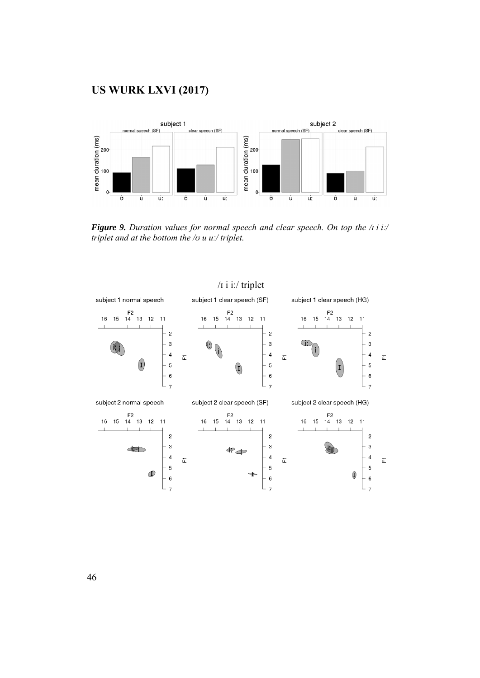

*Figure 9. Duration values for normal speech and clear speech. On top the /ɪ i iː/ triplet and at the bottom the /ʊ u uː/ triplet.* 



# /ɪ i iː/ triplet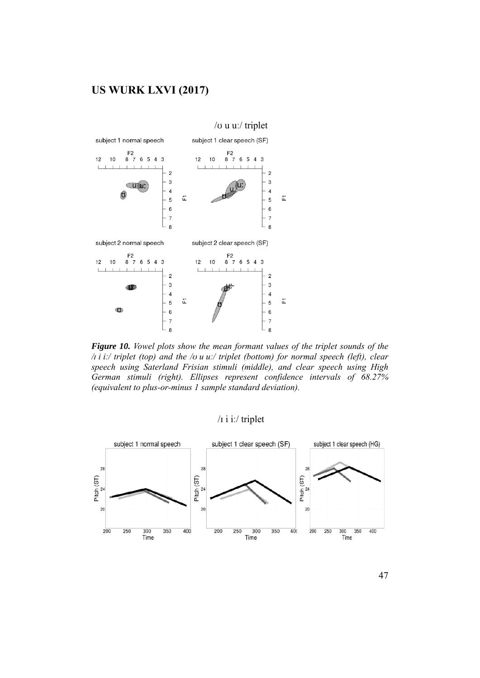

*Figure 10. Vowel plots show the mean formant values of the triplet sounds of the /ɪ i iː/ triplet (top) and the /ʊ u uː/ triplet (bottom) for normal speech (left), clear speech using Saterland Frisian stimuli (middle), and clear speech using High German stimuli (right). Ellipses represent confidence intervals of 68.27% (equivalent to plus-or-minus 1 sample standard deviation).*

# /ɪ i iː/ triplet



47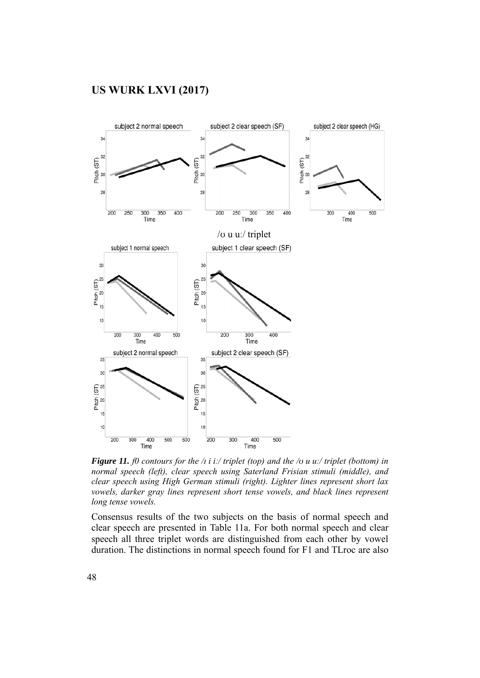

*Figure 11. f0 contours for the /ɪ i iː/ triplet (top) and the /ʊ u uː/ triplet (bottom) in normal speech (left), clear speech using Saterland Frisian stimuli (middle), and clear speech using High German stimuli (right). Lighter lines represent short lax vowels, darker gray lines represent short tense vowels, and black lines represent long tense vowels.* 

Consensus results of the two subjects on the basis of normal speech and clear speech are presented in Table 11a. For both normal speech and clear speech all three triplet words are distinguished from each other by vowel duration. The distinctions in normal speech found for F1 and TLroc are also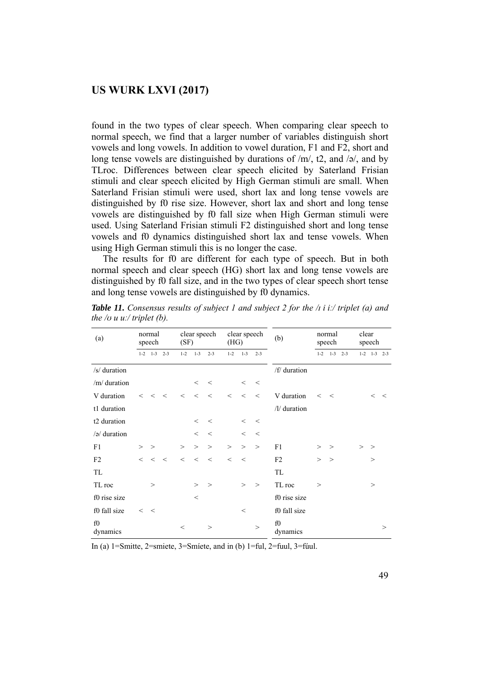found in the two types of clear speech. When comparing clear speech to normal speech, we find that a larger number of variables distinguish short vowels and long vowels. In addition to vowel duration, F1 and F2, short and long tense vowels are distinguished by durations of  $/m/$ , t2, and  $/\gamma$ , and by TLroc. Differences between clear speech elicited by Saterland Frisian stimuli and clear speech elicited by High German stimuli are small. When Saterland Frisian stimuli were used, short lax and long tense vowels are distinguished by f0 rise size. However, short lax and short and long tense vowels are distinguished by f0 fall size when High German stimuli were used. Using Saterland Frisian stimuli F2 distinguished short and long tense vowels and f0 dynamics distinguished short lax and tense vowels. When using High German stimuli this is no longer the case.

 The results for f0 are different for each type of speech. But in both normal speech and clear speech (HG) short lax and long tense vowels are distinguished by f0 fall size, and in the two types of clear speech short tense and long tense vowels are distinguished by f0 dynamics.

| (a)                 |         | normal<br>speech      |            | (SF)    |         | clear speech | (HG)    | clear speech |         | (b)            |             | normal<br>speech  | clear | speech            |          |
|---------------------|---------|-----------------------|------------|---------|---------|--------------|---------|--------------|---------|----------------|-------------|-------------------|-------|-------------------|----------|
|                     |         | $1-2$ $1-3$ $2-3$     |            | $1 - 2$ | $1 - 3$ | $2 - 3$      | $1 - 2$ | $1 - 3$      | $2 - 3$ |                |             | $1-2$ $1-3$ $2-3$ |       | $1-2$ $1-3$ $2-3$ |          |
| /s/ duration        |         |                       |            |         |         |              |         |              |         | /f/ duration   |             |                   |       |                   |          |
| /m/ duration        |         |                       |            |         | $\,<\,$ | $\,<\,$      |         | $\,<\,$      | $\,<\,$ |                |             |                   |       |                   |          |
| V duration          |         | $\langle \ \ < \ \ <$ |            | $\lt$   | $\lt$   | $\,<$        | $\lt$   | $\,<\,$      | $\,<\,$ | V duration     | $\lt$ $\lt$ |                   |       | $\lt$             | $\,<$    |
| t1 duration         |         |                       |            |         |         |              |         |              |         | /l/ duration   |             |                   |       |                   |          |
| t2 duration         |         |                       |            |         | $\,<\,$ | $\,<\,$      |         | $\lt$        | $\,<\,$ |                |             |                   |       |                   |          |
| $\sqrt{2}$ duration |         |                       |            |         | $\,<\,$ | $\,<\,$      |         | $\,<\,$      | $\,<$   |                |             |                   |       |                   |          |
| F1                  | $>$ $>$ |                       |            | $\geq$  | $\geq$  | $\geq$       | $\geq$  | $\geq$       | $\geq$  | F1             | >           | $\geq$            | $>$ > |                   |          |
| F <sub>2</sub>      | $\lt$   | $\lt$                 | $\epsilon$ | $\lt$   | $\lt$   | $\,<$        | $\lt$   | $\,<$        |         | F2             | $\geq$      | $\geq$            |       | >                 |          |
| TL                  |         |                       |            |         |         |              |         |              |         | TL             |             |                   |       |                   |          |
| TL roc              |         | $\geq$                |            |         | $\geq$  | >            |         | $\geq$       | $\geq$  | TL roc         | >           |                   |       | >                 |          |
| f0 rise size        |         |                       |            |         | $\,<$   |              |         |              |         | f0 rise size   |             |                   |       |                   |          |
| f0 fall size        | $\lt$   | $\,<\,$               |            |         |         |              |         | $\,<$        |         | f0 fall size   |             |                   |       |                   |          |
| f0<br>dynamics      |         |                       |            | $\,<\,$ |         | >            |         |              | $\geq$  | f0<br>dynamics |             |                   |       |                   | $\rm{>}$ |

*Table 11. Consensus results of subject 1 and subject 2 for the /ɪ i iː/ triplet (a) and the*  $\alpha$  *u u: triplet* (*b*).

In (a) 1=Smitte, 2=smiete, 3=Smíete, and in (b) 1=ful, 2=fuul, 3=fúul.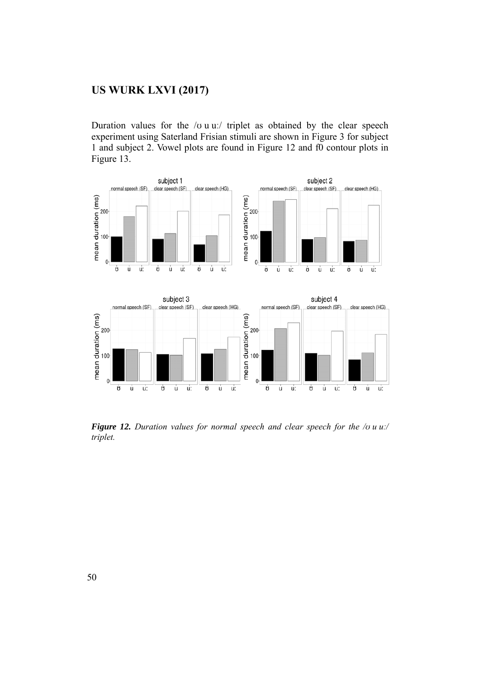Duration values for the  $\alpha$  u u:/ triplet as obtained by the clear speech experiment using Saterland Frisian stimuli are shown in Figure 3 for subject 1 and subject 2. Vowel plots are found in Figure 12 and f0 contour plots in Figure 13.



*Figure 12. Duration values for normal speech and clear speech for the /ʊ u uː/ triplet.*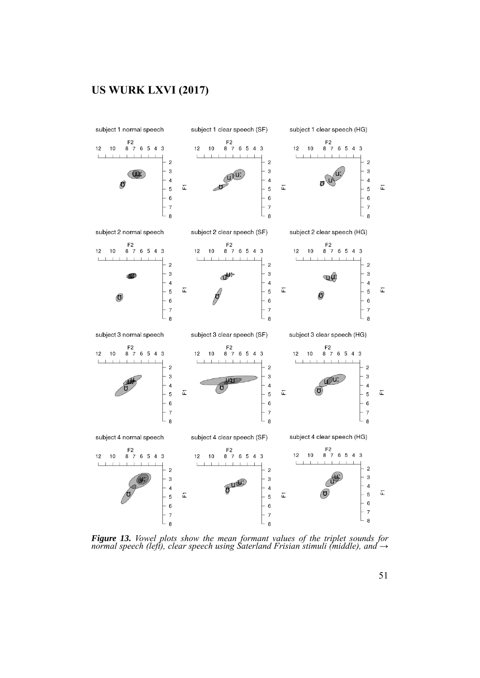

*Figure 13. Vowel plots show the mean formant values of the triplet sounds for normal speech (left), clear speech using Saterland Frisian stimuli (middle), and →*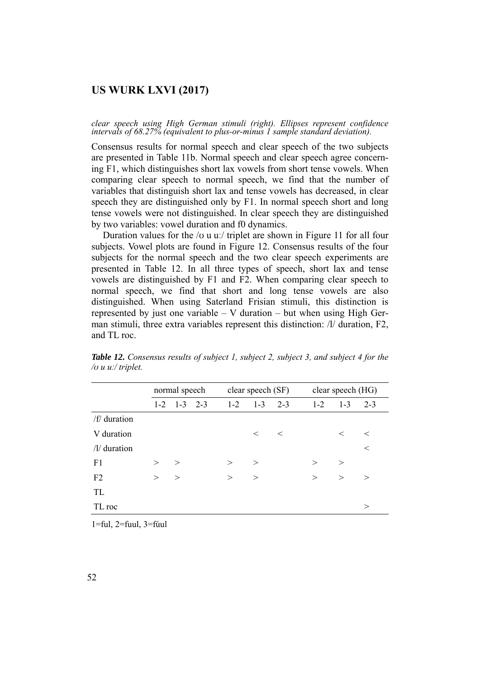*clear speech using High German stimuli (right). Ellipses represent confidence intervals of 68.27% (equivalent to plus-or-minus 1 sample standard deviation).* 

Consensus results for normal speech and clear speech of the two subjects are presented in Table 11b. Normal speech and clear speech agree concerning F1, which distinguishes short lax vowels from short tense vowels. When comparing clear speech to normal speech, we find that the number of variables that distinguish short lax and tense vowels has decreased, in clear speech they are distinguished only by F1. In normal speech short and long tense vowels were not distinguished. In clear speech they are distinguished by two variables: vowel duration and f0 dynamics.

Duration values for the / $\sigma$  u uː/ triplet are shown in Figure 11 for all four subjects. Vowel plots are found in Figure 12. Consensus results of the four subjects for the normal speech and the two clear speech experiments are presented in Table 12. In all three types of speech, short lax and tense vowels are distinguished by F1 and F2. When comparing clear speech to normal speech, we find that short and long tense vowels are also distinguished. When using Saterland Frisian stimuli, this distinction is represented by just one variable  $-$  V duration  $-$  but when using High German stimuli, three extra variables represent this distinction: /l/ duration, F2, and TL roc.

|                 |              | normal speech     |         | clear speech (SF) |         | clear speech (HG) |         |         |  |
|-----------------|--------------|-------------------|---------|-------------------|---------|-------------------|---------|---------|--|
|                 |              | $1-2$ $1-3$ $2-3$ | $1 - 2$ | $1 - 3$           | $2 - 3$ | $1 - 2$           | $1 - 3$ | $2 - 3$ |  |
| /f/ duration    |              |                   |         |                   |         |                   |         |         |  |
| V duration      |              |                   |         | $\lt$ $\lt$       |         |                   | $\lt$   | $\,<\,$ |  |
| $/$ l/ duration |              |                   |         |                   |         |                   |         | $\,<$   |  |
| F1              | $\mathbf{r}$ | $\geq$            | $\geq$  | $\geq$            |         | $\geq$            | $\geq$  |         |  |
| F2              | $\geq$       | >                 | $\geq$  | $\geq$            |         | $\geq$            | $\geq$  | $\geq$  |  |
| <b>TL</b>       |              |                   |         |                   |         |                   |         |         |  |
| TL roc          |              |                   |         |                   |         |                   |         | $\gt$   |  |

*Table 12. Consensus results of subject 1, subject 2, subject 3, and subject 4 for the /ʊ u uː/ triplet.* 

1=ful, 2=fuul, 3=fúul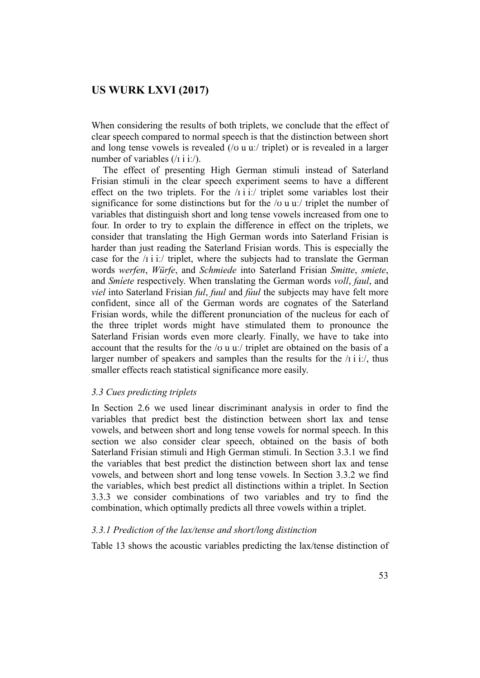When considering the results of both triplets, we conclude that the effect of clear speech compared to normal speech is that the distinction between short and long tense vowels is revealed ( $\alpha$  u u. triplet) or is revealed in a larger number of variables (/1 i i:/).

 The effect of presenting High German stimuli instead of Saterland Frisian stimuli in the clear speech experiment seems to have a different effect on the two triplets. For the  $\pi$  i i. triplet some variables lost their significance for some distinctions but for the  $/\sigma$  u u. triplet the number of variables that distinguish short and long tense vowels increased from one to four. In order to try to explain the difference in effect on the triplets, we consider that translating the High German words into Saterland Frisian is harder than just reading the Saterland Frisian words. This is especially the case for the /ɪ i iː/ triplet, where the subjects had to translate the German words *werfen*, *Würfe*, and *Schmiede* into Saterland Frisian *Smitte*, *smiete*, and *Smíete* respectively. When translating the German words *voll*, *faul*, and *viel* into Saterland Frisian *ful*, *fuul* and *fúul* the subjects may have felt more confident, since all of the German words are cognates of the Saterland Frisian words, while the different pronunciation of the nucleus for each of the three triplet words might have stimulated them to pronounce the Saterland Frisian words even more clearly. Finally, we have to take into account that the results for the /ʊ u uː/ triplet are obtained on the basis of a larger number of speakers and samples than the results for the  $\pi$  i i. thus smaller effects reach statistical significance more easily.

### *3.3 Cues predicting triplets*

In Section 2.6 we used linear discriminant analysis in order to find the variables that predict best the distinction between short lax and tense vowels, and between short and long tense vowels for normal speech. In this section we also consider clear speech, obtained on the basis of both Saterland Frisian stimuli and High German stimuli. In Section 3.3.1 we find the variables that best predict the distinction between short lax and tense vowels, and between short and long tense vowels. In Section 3.3.2 we find the variables, which best predict all distinctions within a triplet. In Section 3.3.3 we consider combinations of two variables and try to find the combination, which optimally predicts all three vowels within a triplet.

#### *3.3.1 Prediction of the lax/tense and short/long distinction*

Table 13 shows the acoustic variables predicting the lax/tense distinction of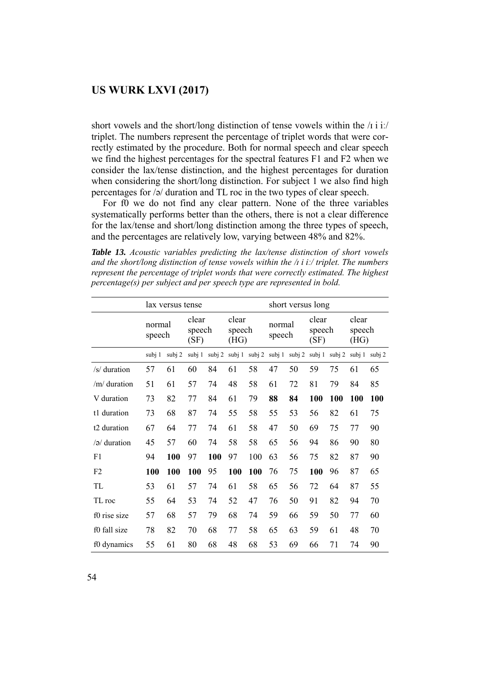short vowels and the short/long distinction of tense vowels within the  $\pi$  i i:/ triplet. The numbers represent the percentage of triplet words that were correctly estimated by the procedure. Both for normal speech and clear speech we find the highest percentages for the spectral features F1 and F2 when we consider the lax/tense distinction, and the highest percentages for duration when considering the short/long distinction. For subject 1 we also find high percentages for /ə/ duration and TL roc in the two types of clear speech.

 For f0 we do not find any clear pattern. None of the three variables systematically performs better than the others, there is not a clear difference for the lax/tense and short/long distinction among the three types of speech, and the percentages are relatively low, varying between 48% and 82%.

*Table 13. Acoustic variables predicting the lax/tense distinction of short vowels and the short/long distinction of tense vowels within the /ɪ i iː/ triplet. The numbers represent the percentage of triplet words that were correctly estimated. The highest percentage(s) per subject and per speech type are represented in bold.* 

|                         |                  | lax versus tense |                         |                   |                         |                             | short versus long |    |                         |          |                         |        |  |
|-------------------------|------------------|------------------|-------------------------|-------------------|-------------------------|-----------------------------|-------------------|----|-------------------------|----------|-------------------------|--------|--|
|                         | normal<br>speech |                  | clear<br>speech<br>(SF) |                   | clear<br>speech<br>(HG) |                             | normal<br>speech  |    | clear<br>speech<br>(SF) |          | clear<br>speech<br>(HG) |        |  |
|                         | subj 1           | subj 2           |                         | subj $1$ subj $2$ |                         | subj 1 subj 2 subj 1 subj 2 |                   |    | subj 1                  | subj $2$ | subj 1                  | subj 2 |  |
| /s/ duration            | 57               | 61               | 60                      | 84                | 61                      | 58                          | 47                | 50 | 59                      | 75       | 61                      | 65     |  |
| /m/duration             | 51               | 61               | 57                      | 74                | 48                      | 58                          | 61                | 72 | 81                      | 79       | 84                      | 85     |  |
| V duration              | 73               | 82               | 77                      | 84                | 61                      | 79                          | 88                | 84 | 100                     | 100      | 100                     | 100    |  |
| t1 duration             | 73               | 68               | 87                      | 74                | 55                      | 58                          | 55                | 53 | 56                      | 82       | 61                      | 75     |  |
| t <sub>2</sub> duration | 67               | 64               |                         | 74                | 61                      | 58                          | 47                | 50 | 69                      | 75       | 77                      | 90     |  |
| $\sqrt{2}$ duration     | 45               | 57               | 60                      | 74                | 58                      | 58                          | 65                | 56 | 94                      | 86       | 90                      | 80     |  |
| F1                      | 94               | 100              | 97                      | 100               | 97                      | 100                         | 63                | 56 | 75                      | 82       | 87                      | 90     |  |
| F <sub>2</sub>          | 100              | 100              | 100                     | 95                | 100                     | 100                         | 76                | 75 | 100                     | 96       | 87                      | 65     |  |
| <b>TL</b>               | 53               | 61               | 57                      | 74                | 61                      | 58                          | 65                | 56 | 72                      | 64       | 87                      | 55     |  |
| TL roc                  | 55               | 64               | 53                      | 74                | 52                      | 47                          | 76                | 50 | 91                      | 82       | 94                      | 70     |  |
| f0 rise size            | 57               | 68               | 57                      | 79                | 68                      | 74                          | 59                | 66 | 59                      | 50       | 77                      | 60     |  |
| f0 fall size            | 78               | 82               | 70                      | 68                | 77                      | 58                          | 65                | 63 | 59                      | 61       | 48                      | 70     |  |
| f0 dynamics             | 55               | 61               | 80                      | 68                | 48                      | 68                          | 53                | 69 | 66                      | 71       | 74                      | 90     |  |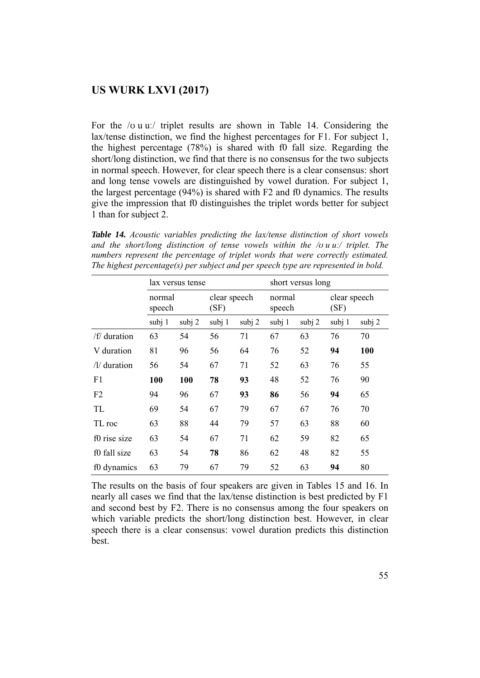For the /ʊ u uː/ triplet results are shown in Table 14. Considering the lax/tense distinction, we find the highest percentages for F1. For subject 1, the highest percentage (78%) is shared with f0 fall size. Regarding the short/long distinction, we find that there is no consensus for the two subjects in normal speech. However, for clear speech there is a clear consensus: short and long tense vowels are distinguished by vowel duration. For subject 1, the largest percentage (94%) is shared with F2 and f0 dynamics. The results give the impression that f0 distinguishes the triplet words better for subject 1 than for subject 2.

*Table 14. Acoustic variables predicting the lax/tense distinction of short vowels and the short/long distinction of tense vowels within the /ʊ u uː/ triplet. The numbers represent the percentage of triplet words that were correctly estimated. The highest percentage(s) per subject and per speech type are represented in bold.* 

|                 |                  | lax versus tense |        |                      | short versus long |        |                      |        |  |  |
|-----------------|------------------|------------------|--------|----------------------|-------------------|--------|----------------------|--------|--|--|
|                 | normal<br>speech |                  |        | clear speech<br>(SF) |                   |        | clear speech<br>(SF) |        |  |  |
|                 | subj 1           | subj 2           | subj 1 | subj 2               | subj 1            | subj 2 | subj 1               | subj 2 |  |  |
| /f/ duration    | 63               | 54               | 56     | 71                   | 67                | 63     | 76                   | 70     |  |  |
| V duration      | 81               | 96               | 56     | 64                   | 76                | 52     | 94                   | 100    |  |  |
| $/$ l/ duration | 56               | 54               | 67     | 71                   | 52                | 63     | 76                   | 55     |  |  |
| F1              | 100              | 100              | 78     | 93                   | 48                | 52     | 76                   | 90     |  |  |
| F <sub>2</sub>  | 94               | 96               | 67     | 93                   | 86                | 56     | 94                   | 65     |  |  |
| TL              | 69               | 54               | 67     | 79                   | 67                | 67     | 76                   | 70     |  |  |
| TL roc          | 63               | 88               | 44     | 79                   | 57                | 63     | 88                   | 60     |  |  |
| f0 rise size    | 63               | 54               | 67     | 71                   | 62                | 59     | 82                   | 65     |  |  |
| f0 fall size    | 63               | 54               | 78     | 86                   | 62                | 48     | 82                   | 55     |  |  |
| f0 dynamics     | 63               | 79               | 67     | 79                   | 52                | 63     | 94                   | 80     |  |  |

The results on the basis of four speakers are given in Tables 15 and 16. In nearly all cases we find that the lax/tense distinction is best predicted by F1 and second best by F2. There is no consensus among the four speakers on which variable predicts the short/long distinction best. However, in clear speech there is a clear consensus: vowel duration predicts this distinction best.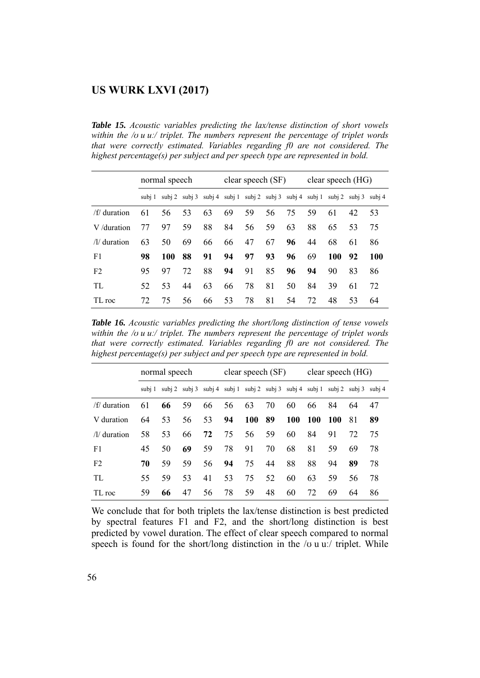*Table 15. Acoustic variables predicting the lax/tense distinction of short vowels within the /ʊ u uː/ triplet. The numbers represent the percentage of triplet words that were correctly estimated. Variables regarding f0 are not considered. The highest percentage(s) per subject and per speech type are represented in bold.* 

|                        | normal speech |     |    |    |    | clear speech (SF)                                                                                           |    |    | clear speech $(HG)$ |     |    |     |
|------------------------|---------------|-----|----|----|----|-------------------------------------------------------------------------------------------------------------|----|----|---------------------|-----|----|-----|
|                        |               |     |    |    |    | $\frac{\text{subj }1}{\text{subj }2}$ subj 3 subj 4 subj 1 subj 2 subj 3 subj 4 subj 1 subj 2 subj 3 subj 4 |    |    |                     |     |    |     |
| /f/ duration           | 61            | 56  | 53 | 63 | 69 | 59                                                                                                          | 56 | 75 | 59                  | 61  | 42 | 53  |
| V/duration             | 77            | 97  | 59 | 88 | 84 | 56                                                                                                          | 59 | 63 | 88                  | 65  | 53 | 75  |
| $\frac{1}{2}$ duration | 63            | 50  | 69 | 66 | 66 | 47                                                                                                          | 67 | 96 | 44                  | 68  | 61 | 86  |
| F1                     | 98            | 100 | 88 | 91 | 94 | 97                                                                                                          | 93 | 96 | 69                  | 100 | 92 | 100 |
| F <sub>2</sub>         | 95            | 97  | 72 | 88 | 94 | 91                                                                                                          | 85 | 96 | 94                  | 90  | 83 | 86  |
| TL                     | 52            | 53  | 44 | 63 | 66 | 78                                                                                                          | 81 | 50 | 84                  | 39  | 61 | 72  |
| TL roc                 | 72            | 75  | 56 | 66 | 53 | 78                                                                                                          | 81 | 54 | 72                  | 48  | 53 | 64  |

*Table 16. Acoustic variables predicting the short/long distinction of tense vowels within the /ʊ u uː/ triplet. The numbers represent the percentage of triplet words that were correctly estimated. Variables regarding f0 are not considered. The highest percentage(s) per subject and per speech type are represented in bold.* 

|                        |    | normal speech |                                                                                                             |    |    | clear speech (SF) |    |     | clear speech (HG) |            |    |    |
|------------------------|----|---------------|-------------------------------------------------------------------------------------------------------------|----|----|-------------------|----|-----|-------------------|------------|----|----|
|                        |    |               | $\frac{\text{subj }1}{\text{subj }2}$ subj 3 subj 4 subj 1 subj 2 subj 3 subj 4 subj 1 subj 2 subj 3 subj 4 |    |    |                   |    |     |                   |            |    |    |
| /f/ duration           | 61 | 66            | 59                                                                                                          | 66 | 56 | 63                | 70 | 60  | 66                | 84         | 64 | 47 |
| V duration             | 64 | 53            | 56                                                                                                          | 53 | 94 | <b>100</b>        | 89 | 100 | <b>100</b>        | <b>100</b> | 81 | 89 |
| $\frac{1}{2}$ duration | 58 | 53            | 66                                                                                                          | 72 | 75 | 56                | 59 | 60  | 84                | 91         | 72 | 75 |
| F1                     | 45 | 50            | 69                                                                                                          | 59 | 78 | 91                | 70 | 68  | 81                | 59         | 69 | 78 |
| F <sub>2</sub>         | 70 | 59            | 59                                                                                                          | 56 | 94 | 75                | 44 | 88  | 88                | 94         | 89 | 78 |
| TL.                    | 55 | 59            | 53                                                                                                          | 41 | 53 | 75                | 52 | 60  | 63                | 59         | 56 | 78 |
| TL roc                 | 59 | 66            | 47                                                                                                          | 56 | 78 | 59                | 48 | 60  | 72                | 69         | 64 | 86 |

We conclude that for both triplets the lax/tense distinction is best predicted by spectral features F1 and F2, and the short/long distinction is best predicted by vowel duration. The effect of clear speech compared to normal speech is found for the short/long distinction in the  $\alpha$  u u. triplet. While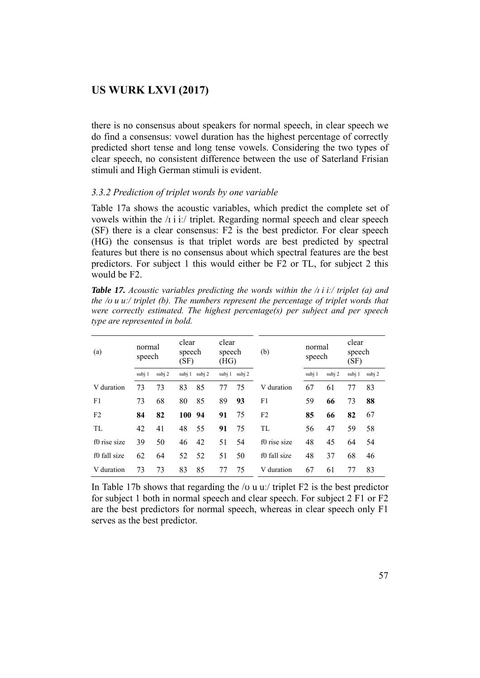there is no consensus about speakers for normal speech, in clear speech we do find a consensus: vowel duration has the highest percentage of correctly predicted short tense and long tense vowels. Considering the two types of clear speech, no consistent difference between the use of Saterland Frisian stimuli and High German stimuli is evident.

### *3.3.2 Prediction of triplet words by one variable*

Table 17a shows the acoustic variables, which predict the complete set of vowels within the /ɪ i iː/ triplet. Regarding normal speech and clear speech (SF) there is a clear consensus: F2 is the best predictor. For clear speech (HG) the consensus is that triplet words are best predicted by spectral features but there is no consensus about which spectral features are the best predictors. For subject 1 this would either be F2 or TL, for subject 2 this would be F2.

*Table 17. Acoustic variables predicting the words within the /ɪ i iː/ triplet (a) and the /ʊ u uː/ triplet (b). The numbers represent the percentage of triplet words that were correctly estimated. The highest percentage(s) per subject and per speech type are represented in bold.* 

| (a)            |        | clear<br>normal<br>speech<br>speech<br>(SF) |        |        | clear<br>speech<br>(HG) |               | (b)            | normal<br>speech |        | clear<br>speech<br>(SF) |        |
|----------------|--------|---------------------------------------------|--------|--------|-------------------------|---------------|----------------|------------------|--------|-------------------------|--------|
|                | subj 1 | subj 2                                      | subj 1 | subj 2 |                         | subj 1 subj 2 |                | subj 1           | subj 2 | subj 1                  | subj 2 |
| V duration     | 73     | 73                                          | 83     | 85     | 77                      | 75            | V duration     | 67               | 61     | 77                      | 83     |
| F1             | 73     | 68                                          | 80     | 85     | 89                      | 93            | F1             | 59               | 66     | 73                      | 88     |
| F <sub>2</sub> | 84     | 82                                          | 100    | 94     | 91                      | 75            | F <sub>2</sub> | 85               | 66     | 82                      | 67     |
| <b>TL</b>      | 42     | 41                                          | 48     | 55     | 91                      | 75            | TL             | 56               | 47     | 59                      | 58     |
| f0 rise size   | 39     | 50                                          | 46     | 42     | 51                      | 54            | f0 rise size   | 48               | 45     | 64                      | 54     |
| f0 fall size   | 62     | 64                                          | 52     | 52     | 51                      | 50            | f0 fall size   | 48               | 37     | 68                      | 46     |
| V duration     | 73     | 73                                          | 83     | 85     | 77                      | 75            | V duration     | 67               | 61     | 77                      | 83     |

In Table 17b shows that regarding the  $\alpha$  u u. triplet F2 is the best predictor for subject 1 both in normal speech and clear speech. For subject 2 F1 or F2 are the best predictors for normal speech, whereas in clear speech only F1 serves as the best predictor.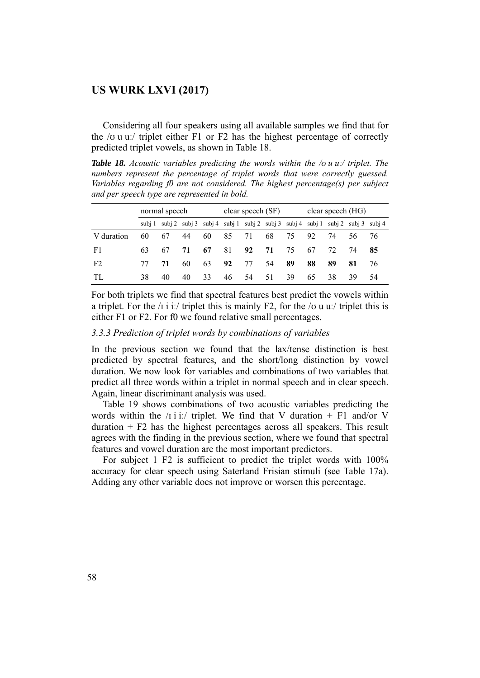Considering all four speakers using all available samples we find that for the  $\overline{\prime}$  v u u:  $\overline{\prime}$  triplet either F1 or F2 has the highest percentage of correctly predicted triplet vowels, as shown in Table 18.

*Table 18. Acoustic variables predicting the words within the /ʊ u uː/ triplet. The numbers represent the percentage of triplet words that were correctly guessed. Variables regarding f0 are not considered. The highest percentage(s) per subject and per speech type are represented in bold.* 

|                |    | normal speech |    |    |    | clear speech (SF)                                                                                    |    |      | clear speech (HG) |    |     |    |
|----------------|----|---------------|----|----|----|------------------------------------------------------------------------------------------------------|----|------|-------------------|----|-----|----|
|                |    |               |    |    |    | $\frac{\text{subj}}{1}$ subj 2 subj 3 subj 4 subj 1 subj 2 subj 3 subj 4 subj 1 subj 2 subj 3 subj 4 |    |      |                   |    |     |    |
| V duration     | 60 | 67            | 44 | 60 | 85 | 71                                                                                                   | 68 | - 75 | 92                | 74 | 56. | 76 |
| F1             | 63 | 67            | 71 | 67 | 81 | 92                                                                                                   | 71 | 75   | 67                | 72 | 74  | 85 |
| F <sub>2</sub> |    | 71            | 60 | 63 | 92 | 77                                                                                                   | 54 | 89   | 88                | 89 | 81  | 76 |
| TL             | 38 | 40            | 40 | 33 | 46 | 54                                                                                                   | 51 | 39   | 65                | 38 | 39  | 54 |

For both triplets we find that spectral features best predict the vowels within a triplet. For the  $\pi$  i i:/ triplet this is mainly F2, for the  $\pi$  u u:/ triplet this is either F1 or F2. For f0 we found relative small percentages.

*3.3.3 Prediction of triplet words by combinations of variables* 

In the previous section we found that the lax/tense distinction is best predicted by spectral features, and the short/long distinction by vowel duration. We now look for variables and combinations of two variables that predict all three words within a triplet in normal speech and in clear speech. Again, linear discriminant analysis was used.

 Table 19 shows combinations of two acoustic variables predicting the words within the  $\pi$  i i:/ triplet. We find that V duration + F1 and/or V duration  $+ F2$  has the highest percentages across all speakers. This result agrees with the finding in the previous section, where we found that spectral features and vowel duration are the most important predictors.

 For subject 1 F2 is sufficient to predict the triplet words with 100% accuracy for clear speech using Saterland Frisian stimuli (see Table 17a). Adding any other variable does not improve or worsen this percentage.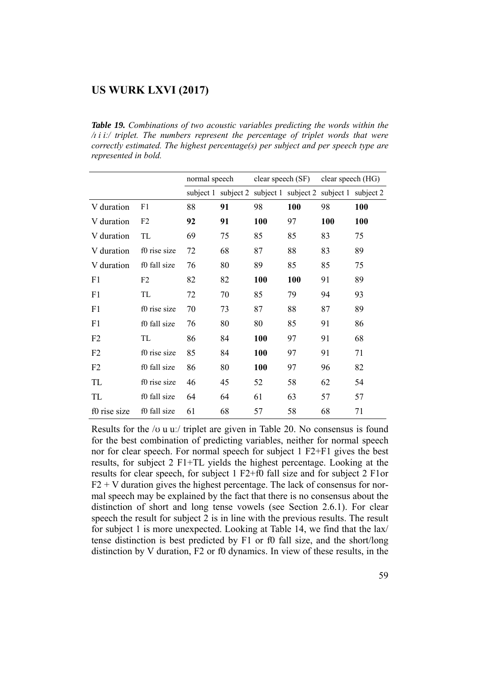*Table 19. Combinations of two acoustic variables predicting the words within the /ɪ i iː/ triplet. The numbers represent the percentage of triplet words that were correctly estimated. The highest percentage(s) per subject and per speech type are represented in bold.* 

|                |                | normal speech |    | clear speech (SF)                                           |     | clear speech (HG) |     |  |
|----------------|----------------|---------------|----|-------------------------------------------------------------|-----|-------------------|-----|--|
|                |                |               |    | subject 1 subject 2 subject 1 subject 2 subject 1 subject 2 |     |                   |     |  |
| V duration     | F1             | 88            | 91 | 98                                                          | 100 | 98                | 100 |  |
| V duration     | F <sub>2</sub> | 92            | 91 | 100                                                         | 97  | 100               | 100 |  |
| V duration     | TL             | 69            | 75 | 85                                                          | 85  | 83                | 75  |  |
| V duration     | f0 rise size   | 72            | 68 | 87                                                          | 88  | 83                | 89  |  |
| V duration     | f0 fall size   | 76            | 80 | 89                                                          | 85  | 85                | 75  |  |
| F1             | F <sub>2</sub> | 82            | 82 | 100                                                         | 100 | 91                | 89  |  |
| F1             | TL             | 72            | 70 | 85                                                          | 79  | 94                | 93  |  |
| F1             | f0 rise size   | 70            | 73 | 87                                                          | 88  | 87                | 89  |  |
| F1             | f0 fall size   | 76            | 80 | 80                                                          | 85  | 91                | 86  |  |
| F <sub>2</sub> | TL             | 86            | 84 | 100                                                         | 97  | 91                | 68  |  |
| F <sub>2</sub> | f0 rise size   | 85            | 84 | 100                                                         | 97  | 91                | 71  |  |
| F2             | f0 fall size   | 86            | 80 | 100                                                         | 97  | 96                | 82  |  |
| TL             | f0 rise size   | 46            | 45 | 52                                                          | 58  | 62                | 54  |  |
| TL             | f0 fall size   | 64            | 64 | 61                                                          | 63  | 57                | 57  |  |
| f0 rise size   | f0 fall size   | 61            | 68 | 57                                                          | 58  | 68                | 71  |  |

Results for the /ʊ u uː/ triplet are given in Table 20. No consensus is found for the best combination of predicting variables, neither for normal speech nor for clear speech. For normal speech for subject 1 F2+F1 gives the best results, for subject 2 F1+TL yields the highest percentage. Looking at the results for clear speech, for subject 1 F2+f0 fall size and for subject 2 F1or  $F2 + V$  duration gives the highest percentage. The lack of consensus for normal speech may be explained by the fact that there is no consensus about the distinction of short and long tense vowels (see Section 2.6.1). For clear speech the result for subject 2 is in line with the previous results. The result for subject 1 is more unexpected. Looking at Table 14, we find that the lax/ tense distinction is best predicted by F1 or f0 fall size, and the short/long distinction by V duration, F2 or f0 dynamics. In view of these results, in the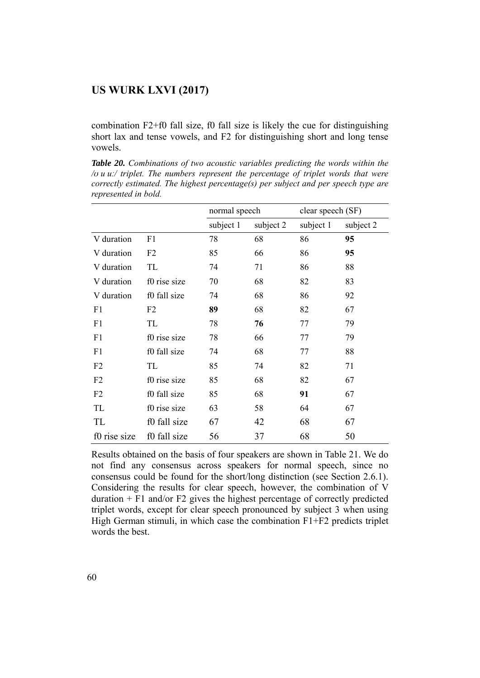combination F2+f0 fall size, f0 fall size is likely the cue for distinguishing short lax and tense vowels, and F2 for distinguishing short and long tense vowels.

*Table 20. Combinations of two acoustic variables predicting the words within the /ʊ u uː/ triplet. The numbers represent the percentage of triplet words that were correctly estimated. The highest percentage(s) per subject and per speech type are represented in bold.* 

|                |              | normal speech |           | clear speech (SF) |           |
|----------------|--------------|---------------|-----------|-------------------|-----------|
|                |              | subject 1     | subject 2 | subject 1         | subject 2 |
| V duration     | F1           | 78            | 68        | 86                | 95        |
| V duration     | F2           | 85            | 66        | 86                | 95        |
| V duration     | TL           | 74            | 71        | 86                | 88        |
| V duration     | f0 rise size | 70            | 68        | 82                | 83        |
| V duration     | f0 fall size | 74            | 68        | 86                | 92        |
| F1             | F2           | 89            | 68        | 82                | 67        |
| F1             | TL           | 78            | 76        | 77                | 79        |
| F <sub>1</sub> | f0 rise size | 78            | 66        | 77                | 79        |
| F1             | f0 fall size | 74            | 68        | 77                | 88        |
| F <sub>2</sub> | TL           | 85            | 74        | 82                | 71        |
| F <sub>2</sub> | f0 rise size | 85            | 68        | 82                | 67        |
| F2             | f0 fall size | 85            | 68        | 91                | 67        |
| TL             | f0 rise size | 63            | 58        | 64                | 67        |
| TL             | f0 fall size | 67            | 42        | 68                | 67        |
| f0 rise size   | f0 fall size | 56            | 37        | 68                | 50        |

Results obtained on the basis of four speakers are shown in Table 21. We do not find any consensus across speakers for normal speech, since no consensus could be found for the short/long distinction (see Section 2.6.1). Considering the results for clear speech, however, the combination of V duration  $+$  F1 and/or F2 gives the highest percentage of correctly predicted triplet words, except for clear speech pronounced by subject 3 when using High German stimuli, in which case the combination F1+F2 predicts triplet words the best.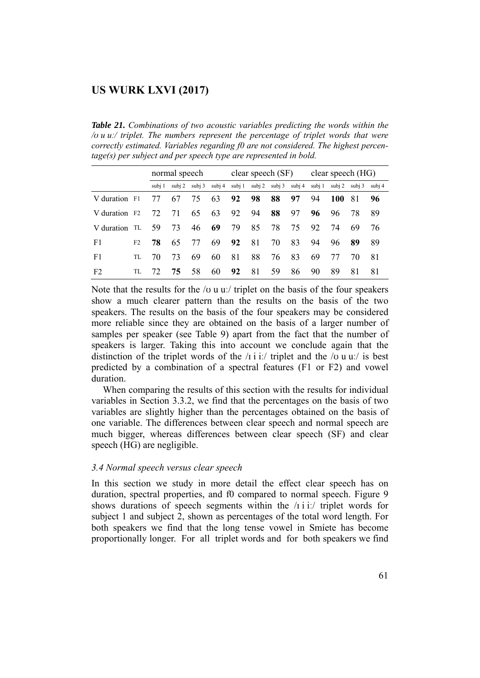*Table 21. Combinations of two acoustic variables predicting the words within the /ʊ u uː/ triplet. The numbers represent the percentage of triplet words that were correctly estimated. Variables regarding f0 are not considered. The highest percentage(s) per subject and per speech type are represented in bold.* 

|                           |     |        | normal speech |        |        |        | clear speech (SF) |    |                      |        | clear speech (HG) |        |        |  |
|---------------------------|-----|--------|---------------|--------|--------|--------|-------------------|----|----------------------|--------|-------------------|--------|--------|--|
|                           |     | subi 1 | subj 2        | subj 3 | subj 4 | subj 1 |                   |    | subj 2 subj 3 subj 4 | subj 1 | subj 2            | subi 3 | subj 4 |  |
| V duration F1             |     | 77     | 67            | 75     | 63     | 92     | 98                | 88 | 97                   | 94     | 100               | 81     | 96     |  |
| V duration F <sub>2</sub> |     | 72     | 71            | 65     | 63     | 92     | 94                | 88 | 97                   | 96     | 96                | 78     | 89     |  |
| V duration TL             |     | 59     | 73            | 46     | 69     | 79     | 85                | 78 | 75                   | 92     | 74                | 69     | 76     |  |
| F1                        | F2  | 78     | 65            | 77     | 69     | 92     | 81                | 70 | 83                   | 94     | 96                | 89     | 89     |  |
| F1                        | TL  | 70     | 73            | 69     | 60     | 81     | 88                | 76 | 83                   | 69     | 77                | 70     | 81     |  |
| F <sub>2</sub>            | TL. | 72.    | 75.           | 58     | 60     | 92     | 81                | 59 | 86                   | 90     | 89                | 81     | 81     |  |

Note that the results for the / $\sigma$  u u:/ triplet on the basis of the four speakers show a much clearer pattern than the results on the basis of the two speakers. The results on the basis of the four speakers may be considered more reliable since they are obtained on the basis of a larger number of samples per speaker (see Table 9) apart from the fact that the number of speakers is larger. Taking this into account we conclude again that the distinction of the triplet words of the  $\pi$  i i:/ triplet and the  $\pi$  u u:/ is best predicted by a combination of a spectral features (F1 or F2) and vowel duration.

 When comparing the results of this section with the results for individual variables in Section 3.3.2, we find that the percentages on the basis of two variables are slightly higher than the percentages obtained on the basis of one variable. The differences between clear speech and normal speech are much bigger, whereas differences between clear speech (SF) and clear speech (HG) are negligible.

#### *3.4 Normal speech versus clear speech*

In this section we study in more detail the effect clear speech has on duration, spectral properties, and f0 compared to normal speech. Figure 9 shows durations of speech segments within the  $\pi$  i i.  $\pi$  triplet words for subject 1 and subject 2, shown as percentages of the total word length. For both speakers we find that the long tense vowel in Smíete has become proportionally longer. For all triplet words and for both speakers we find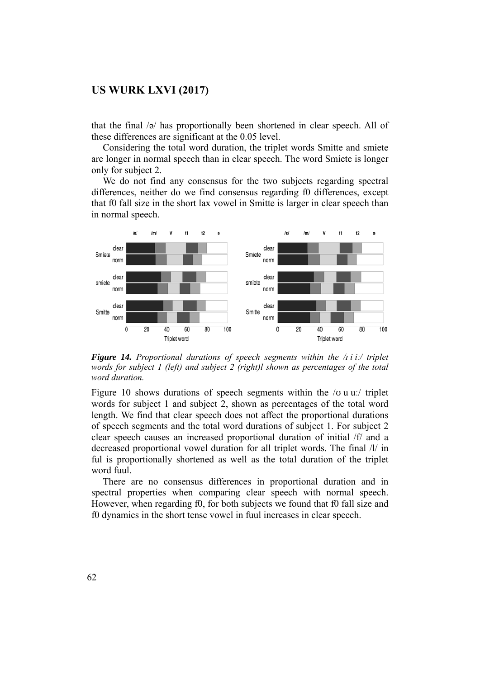that the final /ə/ has proportionally been shortened in clear speech. All of these differences are significant at the 0.05 level.

 Considering the total word duration, the triplet words Smitte and smiete are longer in normal speech than in clear speech. The word Smíete is longer only for subject 2.

 We do not find any consensus for the two subjects regarding spectral differences, neither do we find consensus regarding f0 differences, except that f0 fall size in the short lax vowel in Smitte is larger in clear speech than in normal speech.



*Figure 14. Proportional durations of speech segments within the /ɪ i iː/ triplet words for subject 1 (left) and subject 2 (right)l shown as percentages of the total word duration.* 

Figure 10 shows durations of speech segments within the  $/\sigma$  u u: triplet words for subject 1 and subject 2, shown as percentages of the total word length. We find that clear speech does not affect the proportional durations of speech segments and the total word durations of subject 1. For subject 2 clear speech causes an increased proportional duration of initial /f/ and a decreased proportional vowel duration for all triplet words. The final /l/ in ful is proportionally shortened as well as the total duration of the triplet word fuul.

 There are no consensus differences in proportional duration and in spectral properties when comparing clear speech with normal speech. However, when regarding f0, for both subjects we found that f0 fall size and f0 dynamics in the short tense vowel in fuul increases in clear speech.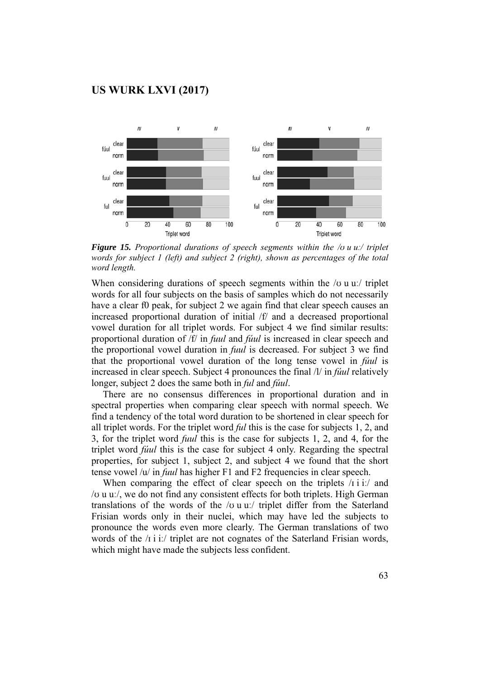

*Figure 15. Proportional durations of speech segments within the /ʊ u uː/ triplet words for subject 1 (left) and subject 2 (right), shown as percentages of the total word length.* 

When considering durations of speech segments within the /o u u./ triplet words for all four subjects on the basis of samples which do not necessarily have a clear f0 peak, for subject 2 we again find that clear speech causes an increased proportional duration of initial /f/ and a decreased proportional vowel duration for all triplet words. For subject 4 we find similar results: proportional duration of /f/ in *fuul* and *fúul* is increased in clear speech and the proportional vowel duration in *fuul* is decreased. For subject 3 we find that the proportional vowel duration of the long tense vowel in *fúul* is increased in clear speech. Subject 4 pronounces the final /l/ in *fúul* relatively longer, subject 2 does the same both in *ful* and *fúul*.

 There are no consensus differences in proportional duration and in spectral properties when comparing clear speech with normal speech. We find a tendency of the total word duration to be shortened in clear speech for all triplet words. For the triplet word *ful* this is the case for subjects 1, 2, and 3, for the triplet word *fuul* this is the case for subjects 1, 2, and 4, for the triplet word *fúul* this is the case for subject 4 only. Regarding the spectral properties, for subject 1, subject 2, and subject 4 we found that the short tense vowel /u/ in *fuul* has higher F1 and F2 frequencies in clear speech.

When comparing the effect of clear speech on the triplets  $\pi$  i it and /ʊ u uː/, we do not find any consistent effects for both triplets. High German translations of the words of the /ʊ u uː/ triplet differ from the Saterland Frisian words only in their nuclei, which may have led the subjects to pronounce the words even more clearly. The German translations of two words of the /i i i/ triplet are not cognates of the Saterland Frisian words, which might have made the subjects less confident.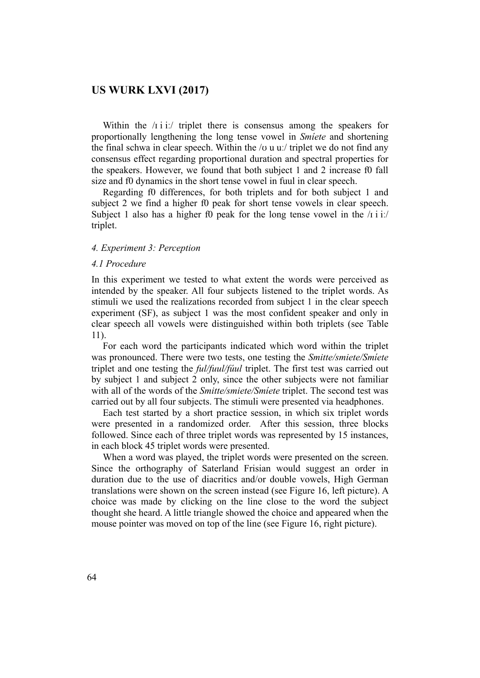Within the  $\pi$  i i:/ triplet there is consensus among the speakers for proportionally lengthening the long tense vowel in *Smíete* and shortening the final schwa in clear speech. Within the /ʊ u uː/ triplet we do not find any consensus effect regarding proportional duration and spectral properties for the speakers. However, we found that both subject 1 and 2 increase f0 fall size and f0 dynamics in the short tense vowel in fuul in clear speech.

 Regarding f0 differences, for both triplets and for both subject 1 and subject 2 we find a higher f0 peak for short tense vowels in clear speech. Subject 1 also has a higher f0 peak for the long tense vowel in the  $\pi$  i i. triplet.

#### *4. Experiment 3: Perception*

#### *4.1 Procedure*

In this experiment we tested to what extent the words were perceived as intended by the speaker. All four subjects listened to the triplet words. As stimuli we used the realizations recorded from subject 1 in the clear speech experiment (SF), as subject 1 was the most confident speaker and only in clear speech all vowels were distinguished within both triplets (see Table 11).

 For each word the participants indicated which word within the triplet was pronounced. There were two tests, one testing the *Smitte/smiete/Smíete* triplet and one testing the *ful/fuul/fúul* triplet. The first test was carried out by subject 1 and subject 2 only, since the other subjects were not familiar with all of the words of the *Smitte/smiete/Smíete* triplet. The second test was carried out by all four subjects. The stimuli were presented via headphones.

 Each test started by a short practice session, in which six triplet words were presented in a randomized order. After this session, three blocks followed. Since each of three triplet words was represented by 15 instances, in each block 45 triplet words were presented.

 When a word was played, the triplet words were presented on the screen. Since the orthography of Saterland Frisian would suggest an order in duration due to the use of diacritics and/or double vowels, High German translations were shown on the screen instead (see Figure 16, left picture). A choice was made by clicking on the line close to the word the subject thought she heard. A little triangle showed the choice and appeared when the mouse pointer was moved on top of the line (see Figure 16, right picture).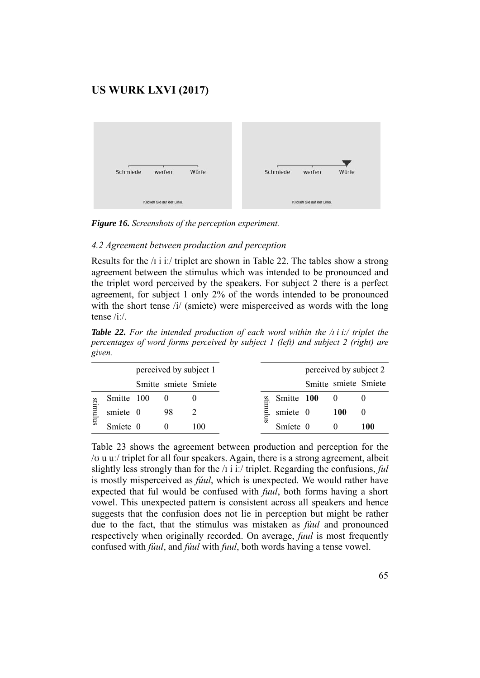

*Figure 16. Screenshots of the perception experiment.* 

### *4.2 Agreement between production and perception*

Results for the /i i i./ triplet are shown in Table 22. The tables show a strong agreement between the stimulus which was intended to be pronounced and the triplet word perceived by the speakers. For subject 2 there is a perfect agreement, for subject 1 only 2% of the words intended to be pronounced with the short tense /i/ (smiete) were misperceived as words with the long tense /iː/.

*Table 22. For the intended production of each word within the /ɪ i iː/ triplet the percentages of word forms perceived by subject 1 (left) and subject 2 (right) are given.* 

|       |          |            | perceived by subject 1 |                      |  |  |  |
|-------|----------|------------|------------------------|----------------------|--|--|--|
|       |          |            |                        | Smitte smiete Smiete |  |  |  |
|       |          | Smitte 100 |                        |                      |  |  |  |
|       | smiete 0 |            | 98                     |                      |  |  |  |
| $\Xi$ | Smiete 0 |            |                        | 100                  |  |  |  |

Table 23 shows the agreement between production and perception for the /ʊ u uː/ triplet for all four speakers. Again, there is a strong agreement, albeit slightly less strongly than for the /ɪ i iː/ triplet. Regarding the confusions, *ful* is mostly misperceived as *fúul*, which is unexpected. We would rather have expected that ful would be confused with *fuul*, both forms having a short vowel. This unexpected pattern is consistent across all speakers and hence suggests that the confusion does not lie in perception but might be rather due to the fact, that the stimulus was mistaken as *fúul* and pronounced respectively when originally recorded. On average, *fuul* is most frequently confused with *fúul*, and *fúul* with *fuul*, both words having a tense vowel. stimulus stimulus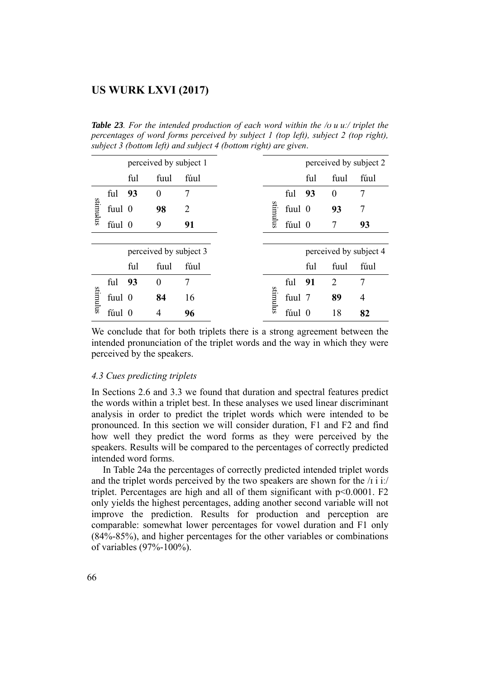*Table 23. For the intended production of each word within the /ʊ u uː/ triplet the percentages of word forms perceived by subject 1 (top left), subject 2 (top right), subject 3 (bottom left) and subject 4 (bottom right) are given*.

|          |        |     | perceived by subject 1       |                |                                                                                                                                                                    |         |        |     | perceived by subject 2 |                |
|----------|--------|-----|------------------------------|----------------|--------------------------------------------------------------------------------------------------------------------------------------------------------------------|---------|--------|-----|------------------------|----------------|
|          |        | ful | fuul                         | fúul           |                                                                                                                                                                    |         |        | ful | fuul                   | fúul           |
|          | ful    | 93  | $\boldsymbol{0}$             | $\overline{7}$ |                                                                                                                                                                    |         | ful    | 93  | $\boldsymbol{0}$       | $\tau$         |
| supprime | fuul 0 |     | 98                           | $\overline{2}$ |                                                                                                                                                                    | sulumut | fuul 0 |     | 93                     | 7              |
|          | fúul 0 |     | 9                            | 91             |                                                                                                                                                                    |         | fúul 0 |     | 7                      | 93             |
|          |        |     |                              |                |                                                                                                                                                                    |         |        |     |                        |                |
|          |        |     | perceived by subject 3       |                |                                                                                                                                                                    |         |        |     | perceived by subject 4 |                |
|          |        | ful | fuul                         | fúul           |                                                                                                                                                                    |         |        | ful | fuul                   | fúul           |
|          | ful    | 93  | $\mathbf{0}$                 | $\overline{7}$ |                                                                                                                                                                    |         | ful    | 91  | $\overline{2}$         | $\overline{7}$ |
| sumulus  | fuul 0 |     | 84                           | 16             |                                                                                                                                                                    | sumulus | fuul 7 |     | 89                     | $\overline{4}$ |
|          | fúul 0 |     | $\overline{4}$               | 96             |                                                                                                                                                                    |         | fúul 0 |     | 18                     | 82             |
|          |        |     | 4.3 Cues predicting triplets |                |                                                                                                                                                                    |         |        |     |                        |                |
|          |        |     |                              |                | In Sections 2.6 and 3.3 we found that duration and spectral features predict                                                                                       |         |        |     |                        |                |
|          |        |     |                              |                | the words within a triplet best. In these analyses we used linear discriminant<br>analysis in order to predict the triplet words which were intended to be         |         |        |     |                        |                |
|          |        |     |                              |                | pronounced. In this section we will consider duration, F1 and F2 and find                                                                                          |         |        |     |                        |                |
|          |        |     |                              |                | how well they predict the word forms as they were perceived by the                                                                                                 |         |        |     |                        |                |
|          |        |     |                              |                | speakers. Results will be compared to the percentages of correctly predicted                                                                                       |         |        |     |                        |                |
|          |        |     | intended word forms.         |                |                                                                                                                                                                    |         |        |     |                        |                |
|          |        |     |                              |                | In Table 24a the percentages of correctly predicted intended triplet words                                                                                         |         |        |     |                        |                |
|          |        |     |                              |                | and the triplet words perceived by the two speakers are shown for the $\pi$ i i.<br>triplet. Percentages are high and all of them significant with $p<0.0001$ . F2 |         |        |     |                        |                |
|          |        |     |                              |                | only yields the highest percentages, adding another second variable will not                                                                                       |         |        |     |                        |                |
|          |        |     |                              |                | improve the prediction. Results for production and perception are                                                                                                  |         |        |     |                        |                |
|          |        |     |                              |                | comparable: somewhat lower percentages for vowel duration and F1 only                                                                                              |         |        |     |                        |                |
|          |        |     |                              |                | $(84\% - 85\%)$ , and higher percentages for the other variables or combinations                                                                                   |         |        |     |                        |                |
|          |        |     | of variables (97%-100%).     |                |                                                                                                                                                                    |         |        |     |                        |                |

#### *4.3 Cues predicting triplets*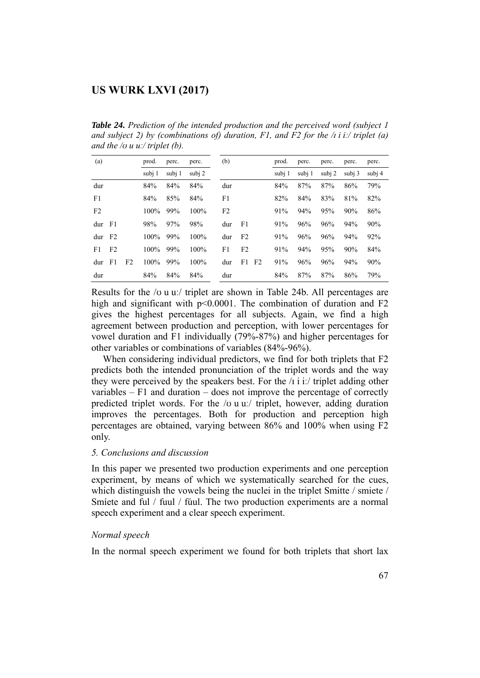*Table 24. Prediction of the intended production and the perceived word (subject 1 and subject 2) by (combinations of) duration, F1, and F2 for the /ɪ i iː/ triplet (a) and the /ʊ u uː/ triplet (b).* 

| (a)            |                |                | prod.   | perc.  | perc.   | (b)            |                |    | prod.  | perc.  | perc.  | perc.  | perc.  |
|----------------|----------------|----------------|---------|--------|---------|----------------|----------------|----|--------|--------|--------|--------|--------|
|                |                |                | subj 1  | subj 1 | subj 2  |                |                |    | subj 1 | subj 1 | subj 2 | subj 3 | subj 4 |
| dur            |                |                | 84%     | 84%    | 84%     | dur            |                |    | 84%    | 87%    | 87%    | 86%    | 79%    |
| F1             |                |                | 84%     | 85%    | 84%     | F1             |                |    | 82%    | 84%    | 83%    | 81%    | 82%    |
| F <sub>2</sub> |                |                | $100\%$ | 99%    | 100%    | F <sub>2</sub> |                |    | 91%    | 94%    | 95%    | 90%    | 86%    |
| $dur$ F1       |                |                | 98%     | 97%    | 98%     | dur            | - F1           |    | 91%    | 96%    | 96%    | 94%    | 90%    |
| dur            | F <sub>2</sub> |                | $100\%$ | 99%    | $100\%$ | dur            | F <sub>2</sub> |    | 91%    | 96%    | 96%    | 94%    | 92%    |
| F1.            | F <sub>2</sub> |                | $100\%$ | 99%    | 100%    | F1             | F <sub>2</sub> |    | 91%    | 94%    | 95%    | 90%    | 84%    |
| dur            | F <sub>1</sub> | F <sub>2</sub> | $100\%$ | 99%    | $100\%$ | dur            | F1             | F2 | 91%    | 96%    | 96%    | 94%    | 90%    |
| dur            |                |                | 84%     | 84%    | 84%     | dur            |                |    | 84%    | 87%    | 87%    | 86%    | 79%    |

Results for the  $\alpha$  u u. triplet are shown in Table 24b. All percentages are high and significant with p<0.0001. The combination of duration and F2 gives the highest percentages for all subjects. Again, we find a high agreement between production and perception, with lower percentages for vowel duration and F1 individually (79%-87%) and higher percentages for other variables or combinations of variables (84%-96%).

 When considering individual predictors, we find for both triplets that F2 predicts both the intended pronunciation of the triplet words and the way they were perceived by the speakers best. For the  $\pi$  i i. triplet adding other variables – F1 and duration – does not improve the percentage of correctly predicted triplet words. For the /ʊ u uː/ triplet, however, adding duration improves the percentages. Both for production and perception high percentages are obtained, varying between 86% and 100% when using F2 only.

### *5. Conclusions and discussion*

In this paper we presented two production experiments and one perception experiment, by means of which we systematically searched for the cues, which distinguish the vowels being the nuclei in the triplet Smitte / smiete / Smíete and ful / fuul / fúul. The two production experiments are a normal speech experiment and a clear speech experiment.

### *Normal speech*

In the normal speech experiment we found for both triplets that short lax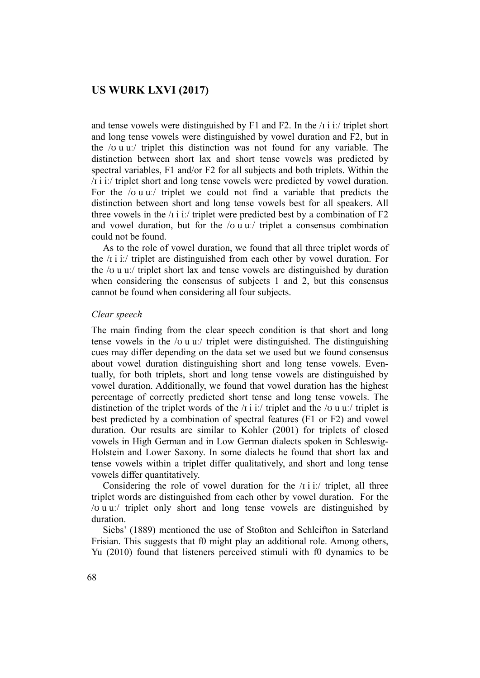and tense vowels were distinguished by F1 and F2. In the  $\pi$  i i. triplet short and long tense vowels were distinguished by vowel duration and F2, but in the /ʊ u uː/ triplet this distinction was not found for any variable. The distinction between short lax and short tense vowels was predicted by spectral variables, F1 and/or F2 for all subjects and both triplets. Within the /ɪ i iː/ triplet short and long tense vowels were predicted by vowel duration. For the  $\alpha$  u u:/ triplet we could not find a variable that predicts the distinction between short and long tense vowels best for all speakers. All three vowels in the  $\pi$  i i. triplet were predicted best by a combination of F2 and vowel duration, but for the  $/\sigma$  u u:/ triplet a consensus combination could not be found.

 As to the role of vowel duration, we found that all three triplet words of the /ɪ i iː/ triplet are distinguished from each other by vowel duration. For the /ʊ u uː/ triplet short lax and tense vowels are distinguished by duration when considering the consensus of subjects 1 and 2, but this consensus cannot be found when considering all four subjects.

#### *Clear speech*

The main finding from the clear speech condition is that short and long tense vowels in the / $\sigma$  u uː/ triplet were distinguished. The distinguishing cues may differ depending on the data set we used but we found consensus about vowel duration distinguishing short and long tense vowels. Eventually, for both triplets, short and long tense vowels are distinguished by vowel duration. Additionally, we found that vowel duration has the highest percentage of correctly predicted short tense and long tense vowels. The distinction of the triplet words of the  $\pi$  i i. triplet and the  $\pi$  u u. triplet is best predicted by a combination of spectral features (F1 or F2) and vowel duration. Our results are similar to Kohler (2001) for triplets of closed vowels in High German and in Low German dialects spoken in Schleswig-Holstein and Lower Saxony. In some dialects he found that short lax and tense vowels within a triplet differ qualitatively, and short and long tense vowels differ quantitatively.

Considering the role of vowel duration for the  $\pi$  i ii. triplet, all three triplet words are distinguished from each other by vowel duration. For the /ʊ u uː/ triplet only short and long tense vowels are distinguished by duration.

 Siebs' (1889) mentioned the use of Stoßton and Schleifton in Saterland Frisian. This suggests that f0 might play an additional role. Among others, Yu (2010) found that listeners perceived stimuli with f0 dynamics to be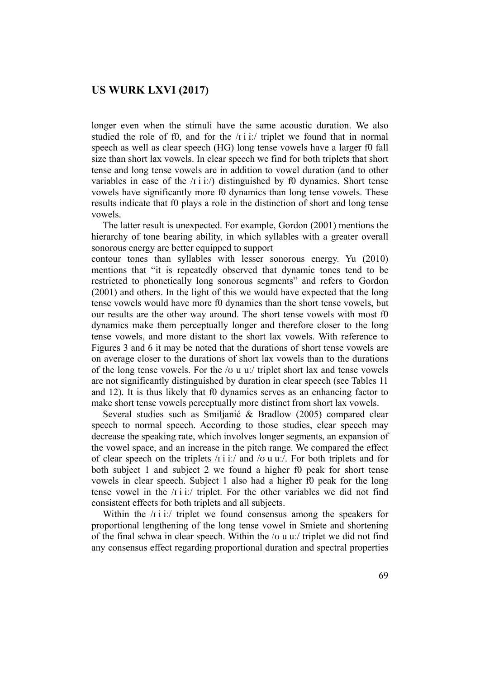longer even when the stimuli have the same acoustic duration. We also studied the role of f0, and for the  $\pi$  i i. triplet we found that in normal speech as well as clear speech (HG) long tense vowels have a larger f0 fall size than short lax vowels. In clear speech we find for both triplets that short tense and long tense vowels are in addition to vowel duration (and to other variables in case of the  $\pi$  i i.  $\pi$ ) distinguished by f0 dynamics. Short tense vowels have significantly more f0 dynamics than long tense vowels. These results indicate that f0 plays a role in the distinction of short and long tense vowels.

 The latter result is unexpected. For example, Gordon (2001) mentions the hierarchy of tone bearing ability, in which syllables with a greater overall sonorous energy are better equipped to support

contour tones than syllables with lesser sonorous energy. Yu (2010) mentions that "it is repeatedly observed that dynamic tones tend to be restricted to phonetically long sonorous segments" and refers to Gordon (2001) and others. In the light of this we would have expected that the long tense vowels would have more f0 dynamics than the short tense vowels, but our results are the other way around. The short tense vowels with most f0 dynamics make them perceptually longer and therefore closer to the long tense vowels, and more distant to the short lax vowels. With reference to Figures 3 and 6 it may be noted that the durations of short tense vowels are on average closer to the durations of short lax vowels than to the durations of the long tense vowels. For the  $\alpha$  u u. triplet short lax and tense vowels are not significantly distinguished by duration in clear speech (see Tables 11 and 12). It is thus likely that f0 dynamics serves as an enhancing factor to make short tense vowels perceptually more distinct from short lax vowels.

 Several studies such as Smiljanić & Bradlow (2005) compared clear speech to normal speech. According to those studies, clear speech may decrease the speaking rate, which involves longer segments, an expansion of the vowel space, and an increase in the pitch range. We compared the effect of clear speech on the triplets  $\pi$  i i:/ and  $\pi$  u u... For both triplets and for both subject 1 and subject 2 we found a higher f0 peak for short tense vowels in clear speech. Subject 1 also had a higher f0 peak for the long tense vowel in the  $\pi$  i i./ triplet. For the other variables we did not find consistent effects for both triplets and all subjects.

Within the  $/1$  i i:/ triplet we found consensus among the speakers for proportional lengthening of the long tense vowel in Smíete and shortening of the final schwa in clear speech. Within the  $\alpha$  u u. triplet we did not find any consensus effect regarding proportional duration and spectral properties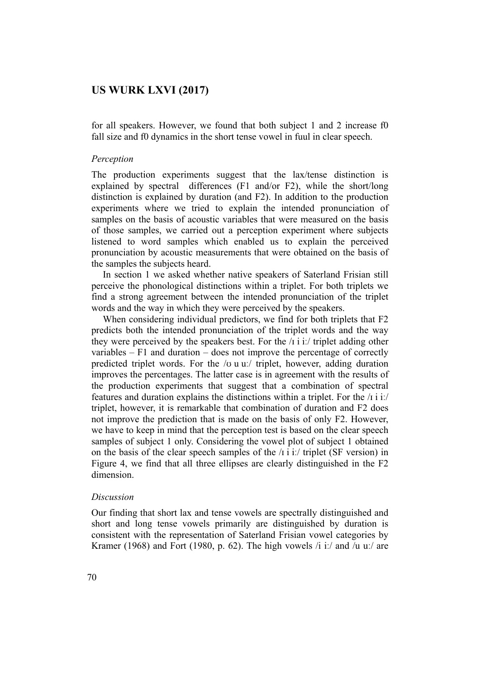for all speakers. However, we found that both subject 1 and 2 increase f0 fall size and f0 dynamics in the short tense vowel in fuul in clear speech.

#### *Perception*

The production experiments suggest that the lax/tense distinction is explained by spectral differences (F1 and/or F2), while the short/long distinction is explained by duration (and F2). In addition to the production experiments where we tried to explain the intended pronunciation of samples on the basis of acoustic variables that were measured on the basis of those samples, we carried out a perception experiment where subjects listened to word samples which enabled us to explain the perceived pronunciation by acoustic measurements that were obtained on the basis of the samples the subjects heard.

 In section 1 we asked whether native speakers of Saterland Frisian still perceive the phonological distinctions within a triplet. For both triplets we find a strong agreement between the intended pronunciation of the triplet words and the way in which they were perceived by the speakers.

 When considering individual predictors, we find for both triplets that F2 predicts both the intended pronunciation of the triplet words and the way they were perceived by the speakers best. For the  $\pi$  i i:/ triplet adding other variables  $- F1$  and duration  $-$  does not improve the percentage of correctly predicted triplet words. For the /ʊ u uː/ triplet, however, adding duration improves the percentages. The latter case is in agreement with the results of the production experiments that suggest that a combination of spectral features and duration explains the distinctions within a triplet. For the /ɪ i iː/ triplet, however, it is remarkable that combination of duration and F2 does not improve the prediction that is made on the basis of only F2. However, we have to keep in mind that the perception test is based on the clear speech samples of subject 1 only. Considering the vowel plot of subject 1 obtained on the basis of the clear speech samples of the  $\pi$  i it triplet (SF version) in Figure 4, we find that all three ellipses are clearly distinguished in the F2 dimension.

#### *Discussion*

Our finding that short lax and tense vowels are spectrally distinguished and short and long tense vowels primarily are distinguished by duration is consistent with the representation of Saterland Frisian vowel categories by Kramer (1968) and Fort (1980, p. 62). The high vowels  $\ell$  i:  $\ell$  and  $\ell$ u u:  $\ell$  are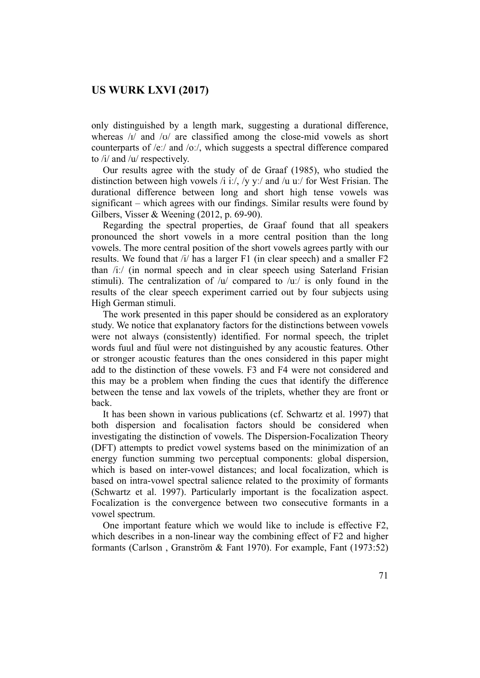only distinguished by a length mark, suggesting a durational difference, whereas  $\frac{1}{4}$  and  $\frac{1}{6}$  are classified among the close-mid vowels as short counterparts of /eː/ and /oː/, which suggests a spectral difference compared to /i/ and /u/ respectively.

 Our results agree with the study of de Graaf (1985), who studied the distinction between high vowels /i iː/, /y yː/ and /u uː/ for West Frisian. The durational difference between long and short high tense vowels was significant – which agrees with our findings. Similar results were found by Gilbers, Visser & Weening (2012, p. 69-90).

 Regarding the spectral properties, de Graaf found that all speakers pronounced the short vowels in a more central position than the long vowels. The more central position of the short vowels agrees partly with our results. We found that /i/ has a larger F1 (in clear speech) and a smaller F2 than /iː/ (in normal speech and in clear speech using Saterland Frisian stimuli). The centralization of  $\langle u \rangle$  compared to  $\langle u \rangle$  is only found in the results of the clear speech experiment carried out by four subjects using High German stimuli.

 The work presented in this paper should be considered as an exploratory study. We notice that explanatory factors for the distinctions between vowels were not always (consistently) identified. For normal speech, the triplet words fuul and fúul were not distinguished by any acoustic features. Other or stronger acoustic features than the ones considered in this paper might add to the distinction of these vowels. F3 and F4 were not considered and this may be a problem when finding the cues that identify the difference between the tense and lax vowels of the triplets, whether they are front or back.

 It has been shown in various publications (cf. Schwartz et al. 1997) that both dispersion and focalisation factors should be considered when investigating the distinction of vowels. The Dispersion-Focalization Theory (DFT) attempts to predict vowel systems based on the minimization of an energy function summing two perceptual components: global dispersion, which is based on inter-vowel distances; and local focalization, which is based on intra-vowel spectral salience related to the proximity of formants (Schwartz et al. 1997). Particularly important is the focalization aspect. Focalization is the convergence between two consecutive formants in a vowel spectrum.

 One important feature which we would like to include is effective F2, which describes in a non-linear way the combining effect of F2 and higher formants (Carlson , Granström & Fant 1970). For example, Fant (1973:52)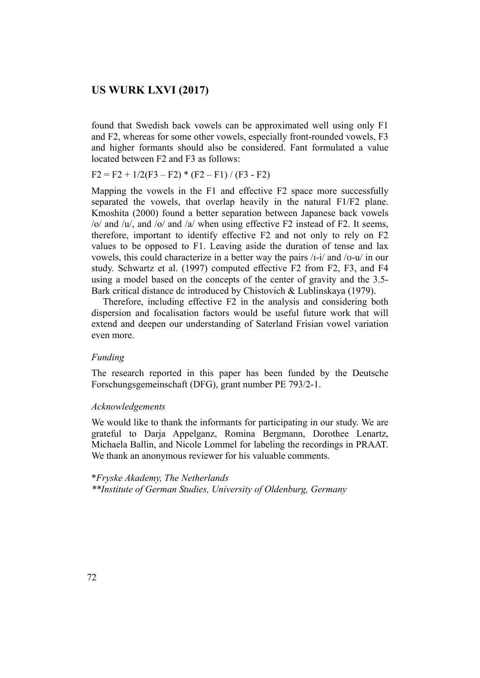found that Swedish back vowels can be approximated well using only F1 and F2, whereas for some other vowels, especially front-rounded vowels, F3 and higher formants should also be considered. Fant formulated a value located between F2 and F3 as follows:

 $F2 = F2 + 1/2(F3 - F2) * (F2 - F1) / (F3 - F2)$ 

Mapping the vowels in the F1 and effective F2 space more successfully separated the vowels, that overlap heavily in the natural F1/F2 plane. Kmoshita (2000) found a better separation between Japanese back vowels /o/ and /u/, and /o/ and /a/ when using effective F2 instead of F2. It seems, therefore, important to identify effective F2 and not only to rely on F2 values to be opposed to F1. Leaving aside the duration of tense and lax vowels, this could characterize in a better way the pairs /ɪ-i/ and /ʊ-u/ in our study. Schwartz et al. (1997) computed effective F2 from F2, F3, and F4 using a model based on the concepts of the center of gravity and the 3.5- Bark critical distance dc introduced by Chistovich & Lublinskaya (1979).

 Therefore, including effective F2 in the analysis and considering both dispersion and focalisation factors would be useful future work that will extend and deepen our understanding of Saterland Frisian vowel variation even more.

### *Funding*

The research reported in this paper has been funded by the Deutsche Forschungsgemeinschaft (DFG), grant number PE 793/2-1.

#### *Acknowledgements*

We would like to thank the informants for participating in our study. We are grateful to Darja Appelganz, Romina Bergmann, Dorothee Lenartz, Michaela Ballin, and Nicole Lommel for labeling the recordings in PRAAT. We thank an anonymous reviewer for his valuable comments.

#### \**Fryske Akademy, The Netherlands*

*\*\*Institute of German Studies, University of Oldenburg, Germany*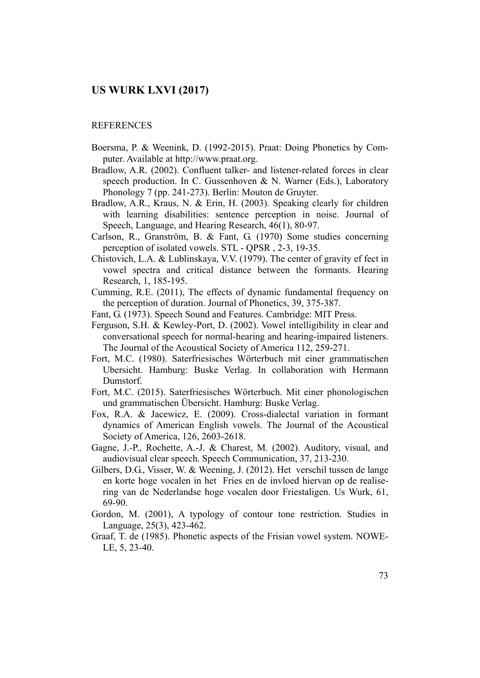#### **REFERENCES**

- Boersma, P. & Weenink, D. (1992-2015). Praat: Doing Phonetics by Computer. Available at http://www.praat.org.
- Bradlow, A.R. (2002). Confluent talker- and listener-related forces in clear speech production. In C. Gussenhoven & N. Warner (Eds.), Laboratory Phonology 7 (pp. 241-273). Berlin: Mouton de Gruyter.
- Bradlow, A.R., Kraus, N. & Erin, H. (2003). Speaking clearly for children with learning disabilities: sentence perception in noise. Journal of Speech, Language, and Hearing Research, 46(1), 80-97.
- Carlson, R., Granström, B. & Fant, G. (1970) Some studies concerning perception of isolated vowels. STL - QPSR , 2-3, 19-35.
- Chistovich, L.A. & Lublinskaya, V.V. (1979). The center of gravity ef fect in vowel spectra and critical distance between the formants. Hearing Research, 1, 185-195.
- Cumming, R.E. (2011), The effects of dynamic fundamental frequency on the perception of duration. Journal of Phonetics, 39, 375-387.
- Fant, G. (1973). Speech Sound and Features. Cambridge: MIT Press.
- Ferguson, S.H. & Kewley-Port, D. (2002). Vowel intelligibility in clear and conversational speech for normal-hearing and hearing-impaired listeners. The Journal of the Acoustical Society of America 112, 259-271.
- Fort, M.C. (1980). Saterfriesisches Wörterbuch mit einer grammatischen Ubersicht. Hamburg: Buske Verlag. In collaboration with Hermann Dumstorf.
- Fort, M.C. (2015). Saterfriesisches Wörterbuch. Mit einer phonologischen und grammatischen Übersicht. Hamburg: Buske Verlag.
- Fox, R.A. & Jacewicz, E. (2009). Cross-dialectal variation in formant dynamics of American English vowels. The Journal of the Acoustical Society of America, 126, 2603-2618.
- Gagne, J.-P., Rochette, A.-J. & Charest, M. (2002). Auditory, visual, and audiovisual clear speech. Speech Communication, 37, 213-230.
- Gilbers, D.G., Visser, W. & Weening, J. (2012). Het verschil tussen de lange en korte hoge vocalen in het Fries en de invloed hiervan op de realisering van de Nederlandse hoge vocalen door Friestaligen. Us Wurk, 61, 69-90.
- Gordon, M. (2001), A typology of contour tone restriction. Studies in Language, 25(3), 423-462.
- Graaf, T. de (1985). Phonetic aspects of the Frisian vowel system. NOWE-LE, 5, 23-40.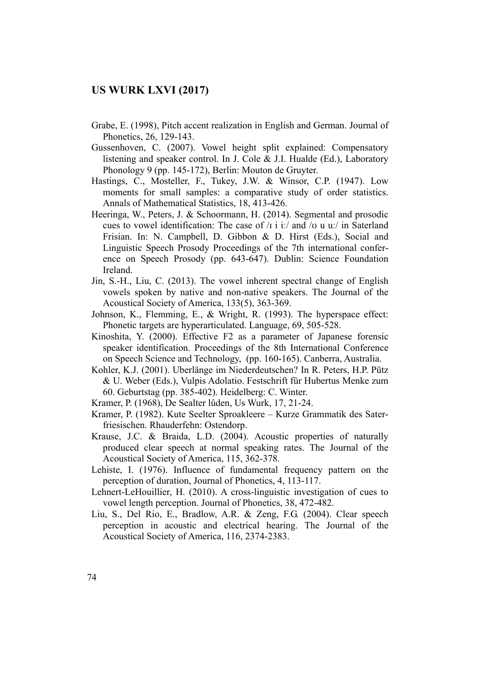- Grabe, E. (1998), Pitch accent realization in English and German. Journal of Phonetics, 26, 129-143.
- Gussenhoven, C. (2007). Vowel height split explained: Compensatory listening and speaker control. In J. Cole & J.I. Hualde (Ed.), Laboratory Phonology 9 (pp. 145-172), Berlin: Mouton de Gruyter.
- Hastings, C., Mosteller, F., Tukey, J.W. & Winsor, C.P. (1947). Low moments for small samples: a comparative study of order statistics. Annals of Mathematical Statistics, 18, 413-426.
- Heeringa, W., Peters, J. & Schoormann, H. (2014). Segmental and prosodic cues to vowel identification: The case of  $\pi$  i i:/ and  $\pi$  u u./ in Saterland Frisian. In: N. Campbell, D. Gibbon & D. Hirst (Eds.), Social and Linguistic Speech Prosody Proceedings of the 7th international conference on Speech Prosody (pp. 643-647). Dublin: Science Foundation Ireland.
- Jin, S.-H., Liu, C. (2013). The vowel inherent spectral change of English vowels spoken by native and non-native speakers. The Journal of the Acoustical Society of America, 133(5), 363-369.
- Johnson, K., Flemming, E., & Wright, R. (1993). The hyperspace effect: Phonetic targets are hyperarticulated. Language, 69, 505-528.
- Kinoshita, Y. (2000). Effective F2 as a parameter of Japanese forensic speaker identification. Proceedings of the 8th International Conference on Speech Science and Technology, (pp. 160-165). Canberra, Australia.
- Kohler, K.J. (2001). Uberlänge im Niederdeutschen? In R. Peters, H.P. Pütz & U. Weber (Eds.), Vulpis Adolatio. Festschrift für Hubertus Menke zum 60. Geburtstag (pp. 385-402). Heidelberg: C. Winter.
- Kramer, P. (1968), De Sealter lûden, Us Wurk, 17, 21-24.
- Kramer, P. (1982). Kute Seelter Sproakleere Kurze Grammatik des Saterfriesischen. Rhauderfehn: Ostendorp.
- Krause, J.C. & Braida, L.D. (2004). Acoustic properties of naturally produced clear speech at normal speaking rates. The Journal of the Acoustical Society of America, 115, 362-378.
- Lehiste, I. (1976). Influence of fundamental frequency pattern on the perception of duration, Journal of Phonetics, 4, 113-117.
- Lehnert-LeHouillier, H. (2010). A cross-linguistic investigation of cues to vowel length perception. Journal of Phonetics, 38, 472-482.
- Liu, S., Del Rio, E., Bradlow, A.R. & Zeng, F.G. (2004). Clear speech perception in acoustic and electrical hearing. The Journal of the Acoustical Society of America, 116, 2374-2383.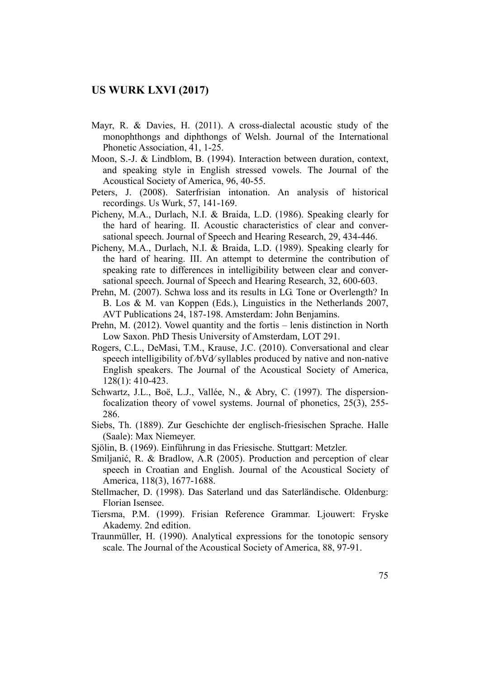- Mayr, R. & Davies, H. (2011). A cross-dialectal acoustic study of the monophthongs and diphthongs of Welsh. Journal of the International Phonetic Association, 41, 1-25.
- Moon, S.-J. & Lindblom, B. (1994). Interaction between duration, context, and speaking style in English stressed vowels. The Journal of the Acoustical Society of America, 96, 40-55.
- Peters, J. (2008). Saterfrisian intonation. An analysis of historical recordings. Us Wurk, 57, 141-169.
- Picheny, M.A., Durlach, N.I. & Braida, L.D. (1986). Speaking clearly for the hard of hearing. II. Acoustic characteristics of clear and conversational speech. Journal of Speech and Hearing Research, 29, 434-446.
- Picheny, M.A., Durlach, N.I. & Braida, L.D. (1989). Speaking clearly for the hard of hearing. III. An attempt to determine the contribution of speaking rate to differences in intelligibility between clear and conversational speech. Journal of Speech and Hearing Research, 32, 600-603.
- Prehn, M. (2007). Schwa loss and its results in LG. Tone or Overlength? In B. Los & M. van Koppen (Eds.), Linguistics in the Netherlands 2007, AVT Publications 24, 187-198. Amsterdam: John Benjamins.
- Prehn, M. (2012). Vowel quantity and the fortis lenis distinction in North Low Saxon. PhD Thesis University of Amsterdam, LOT 291.
- Rogers, C.L., DeMasi, T.M., Krause, J.C. (2010). Conversational and clear speech intelligibility of */*bVd/ syllables produced by native and non-native English speakers. The Journal of the Acoustical Society of America, 128(1): 410-423.
- Schwartz, J.L., Boë, L.J., Vallée, N., & Abry, C. (1997). The dispersionfocalization theory of vowel systems. Journal of phonetics, 25(3), 255- 286.
- Siebs, Th. (1889). Zur Geschichte der englisch-friesischen Sprache. Halle (Saale): Max Niemeyer.
- Sjölin, B. (1969). Einführung in das Friesische. Stuttgart: Metzler.
- Smiljanić, R. & Bradlow, A.R (2005). Production and perception of clear speech in Croatian and English. Journal of the Acoustical Society of America, 118(3), 1677-1688.
- Stellmacher, D. (1998). Das Saterland und das Saterländische. Oldenburg: Florian Isensee.
- Tiersma, P.M. (1999). Frisian Reference Grammar. Ljouwert: Fryske Akademy. 2nd edition.
- Traunmüller, H. (1990). Analytical expressions for the tonotopic sensory scale. The Journal of the Acoustical Society of America, 88, 97-91.